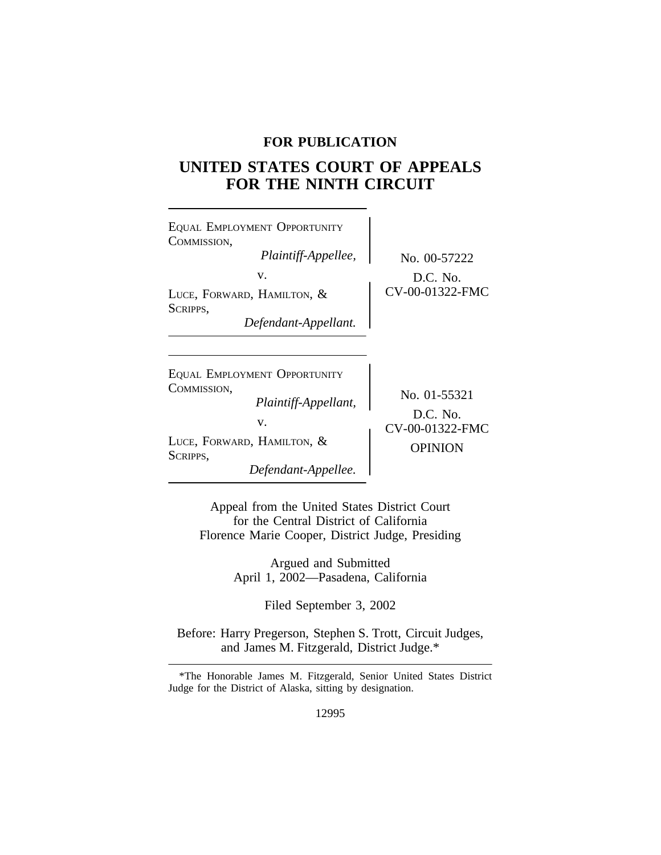## **FOR PUBLICATION**

# **UNITED STATES COURT OF APPEALS FOR THE NINTH CIRCUIT**

| EQUAL EMPLOYMENT OPPORTUNITY<br>COMMISSION,<br>Plaintiff-Appellee,<br>V.<br>LUCE, FORWARD, HAMILTON, &<br>SCRIPPS,<br>Defendant-Appellant. | No. 00-57222<br>$D.C.$ No.<br>CV-00-01322-FMC                   |
|--------------------------------------------------------------------------------------------------------------------------------------------|-----------------------------------------------------------------|
| EQUAL EMPLOYMENT OPPORTUNITY<br>COMMISSION,<br>Plaintiff-Appellant,<br>V.<br>LUCE, FORWARD, HAMILTON, &<br>SCRIPPS,<br>Defendant-Appellee. | No. 01-55321<br>$D.C.$ No.<br>CV-00-01322-FMC<br><b>OPINION</b> |

Appeal from the United States District Court for the Central District of California Florence Marie Cooper, District Judge, Presiding

> Argued and Submitted April 1, 2002—Pasadena, California

> > Filed September 3, 2002

Before: Harry Pregerson, Stephen S. Trott, Circuit Judges, and James M. Fitzgerald, District Judge.\*

\*The Honorable James M. Fitzgerald, Senior United States District Judge for the District of Alaska, sitting by designation.

12995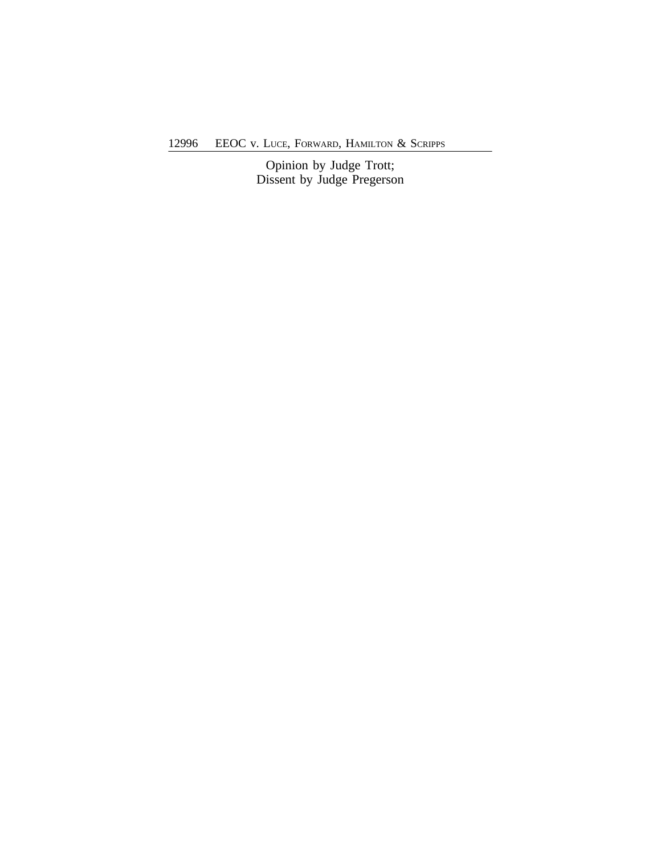12996 EEOC v. LUCE, FORWARD, HAMILTON & SCRIPPS

Opinion by Judge Trott; Dissent by Judge Pregerson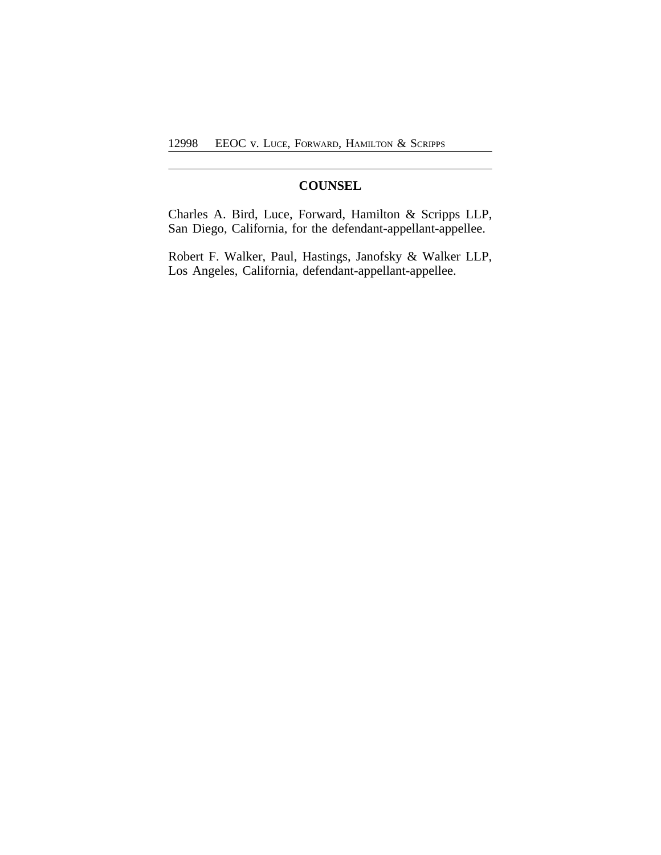# **COUNSEL**

Charles A. Bird, Luce, Forward, Hamilton & Scripps LLP, San Diego, California, for the defendant-appellant-appellee.

Robert F. Walker, Paul, Hastings, Janofsky & Walker LLP, Los Angeles, California, defendant-appellant-appellee.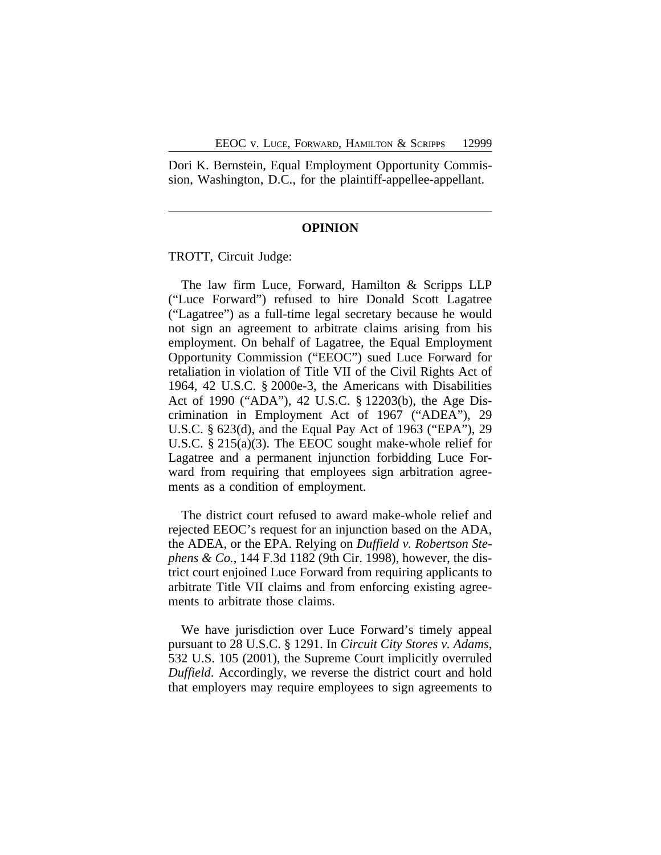Dori K. Bernstein, Equal Employment Opportunity Commission, Washington, D.C., for the plaintiff-appellee-appellant.

### **OPINION**

TROTT, Circuit Judge:

The law firm Luce, Forward, Hamilton & Scripps LLP ("Luce Forward") refused to hire Donald Scott Lagatree ("Lagatree") as a full-time legal secretary because he would not sign an agreement to arbitrate claims arising from his employment. On behalf of Lagatree, the Equal Employment Opportunity Commission ("EEOC") sued Luce Forward for retaliation in violation of Title VII of the Civil Rights Act of 1964, 42 U.S.C. § 2000e-3, the Americans with Disabilities Act of 1990 ("ADA"), 42 U.S.C. § 12203(b), the Age Discrimination in Employment Act of 1967 ("ADEA"), 29 U.S.C. § 623(d), and the Equal Pay Act of 1963 ("EPA"), 29 U.S.C. § 215(a)(3). The EEOC sought make-whole relief for Lagatree and a permanent injunction forbidding Luce Forward from requiring that employees sign arbitration agreements as a condition of employment.

The district court refused to award make-whole relief and rejected EEOC's request for an injunction based on the ADA, the ADEA, or the EPA. Relying on *Duffield v. Robertson Stephens & Co.*, 144 F.3d 1182 (9th Cir. 1998), however, the district court enjoined Luce Forward from requiring applicants to arbitrate Title VII claims and from enforcing existing agreements to arbitrate those claims.

We have jurisdiction over Luce Forward's timely appeal pursuant to 28 U.S.C. § 1291. In *Circuit City Stores v. Adams*, 532 U.S. 105 (2001), the Supreme Court implicitly overruled *Duffield*. Accordingly, we reverse the district court and hold that employers may require employees to sign agreements to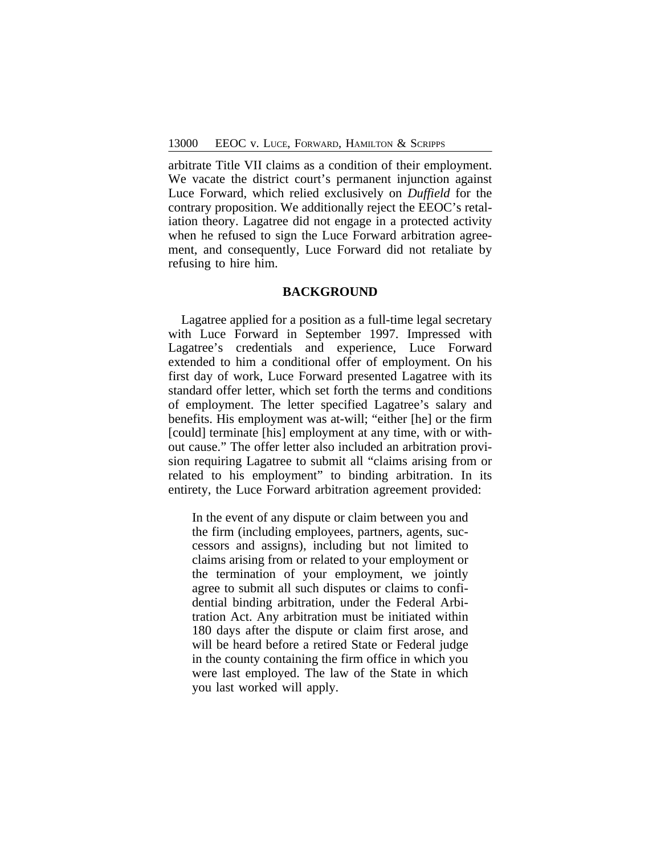arbitrate Title VII claims as a condition of their employment. We vacate the district court's permanent injunction against Luce Forward, which relied exclusively on *Duffield* for the contrary proposition. We additionally reject the EEOC's retaliation theory. Lagatree did not engage in a protected activity when he refused to sign the Luce Forward arbitration agreement, and consequently, Luce Forward did not retaliate by refusing to hire him.

## **BACKGROUND**

Lagatree applied for a position as a full-time legal secretary with Luce Forward in September 1997. Impressed with Lagatree's credentials and experience, Luce Forward extended to him a conditional offer of employment. On his first day of work, Luce Forward presented Lagatree with its standard offer letter, which set forth the terms and conditions of employment. The letter specified Lagatree's salary and benefits. His employment was at-will; "either [he] or the firm [could] terminate [his] employment at any time, with or without cause." The offer letter also included an arbitration provision requiring Lagatree to submit all "claims arising from or related to his employment" to binding arbitration. In its entirety, the Luce Forward arbitration agreement provided:

In the event of any dispute or claim between you and the firm (including employees, partners, agents, successors and assigns), including but not limited to claims arising from or related to your employment or the termination of your employment, we jointly agree to submit all such disputes or claims to confidential binding arbitration, under the Federal Arbitration Act. Any arbitration must be initiated within 180 days after the dispute or claim first arose, and will be heard before a retired State or Federal judge in the county containing the firm office in which you were last employed. The law of the State in which you last worked will apply.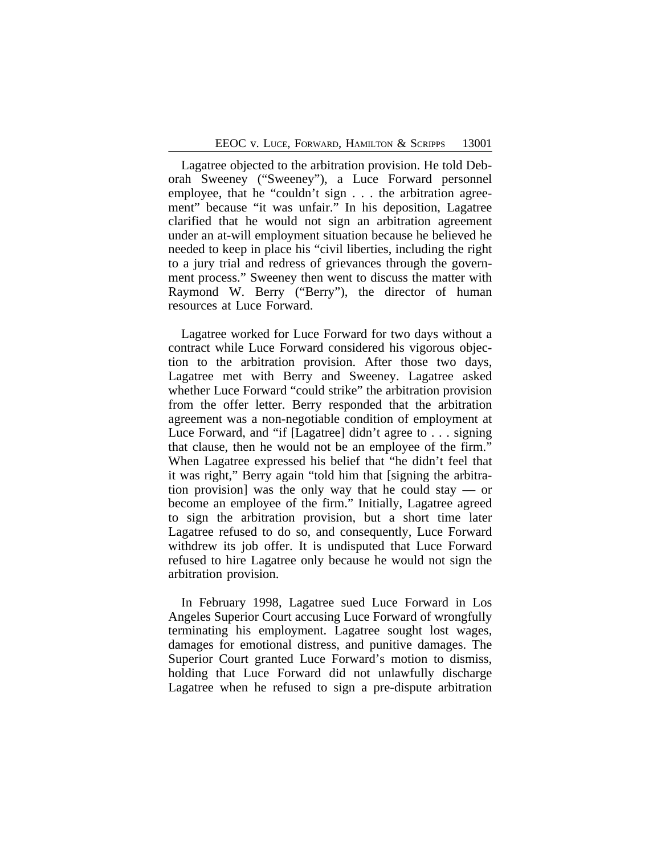Lagatree objected to the arbitration provision. He told Deborah Sweeney ("Sweeney"), a Luce Forward personnel employee, that he "couldn't sign . . . the arbitration agreement" because "it was unfair." In his deposition, Lagatree clarified that he would not sign an arbitration agreement under an at-will employment situation because he believed he needed to keep in place his "civil liberties, including the right to a jury trial and redress of grievances through the government process." Sweeney then went to discuss the matter with Raymond W. Berry ("Berry"), the director of human resources at Luce Forward.

Lagatree worked for Luce Forward for two days without a contract while Luce Forward considered his vigorous objection to the arbitration provision. After those two days, Lagatree met with Berry and Sweeney. Lagatree asked whether Luce Forward "could strike" the arbitration provision from the offer letter. Berry responded that the arbitration agreement was a non-negotiable condition of employment at Luce Forward, and "if [Lagatree] didn't agree to . . . signing that clause, then he would not be an employee of the firm." When Lagatree expressed his belief that "he didn't feel that it was right," Berry again "told him that [signing the arbitration provision] was the only way that he could stay — or become an employee of the firm." Initially, Lagatree agreed to sign the arbitration provision, but a short time later Lagatree refused to do so, and consequently, Luce Forward withdrew its job offer. It is undisputed that Luce Forward refused to hire Lagatree only because he would not sign the arbitration provision.

In February 1998, Lagatree sued Luce Forward in Los Angeles Superior Court accusing Luce Forward of wrongfully terminating his employment. Lagatree sought lost wages, damages for emotional distress, and punitive damages. The Superior Court granted Luce Forward's motion to dismiss, holding that Luce Forward did not unlawfully discharge Lagatree when he refused to sign a pre-dispute arbitration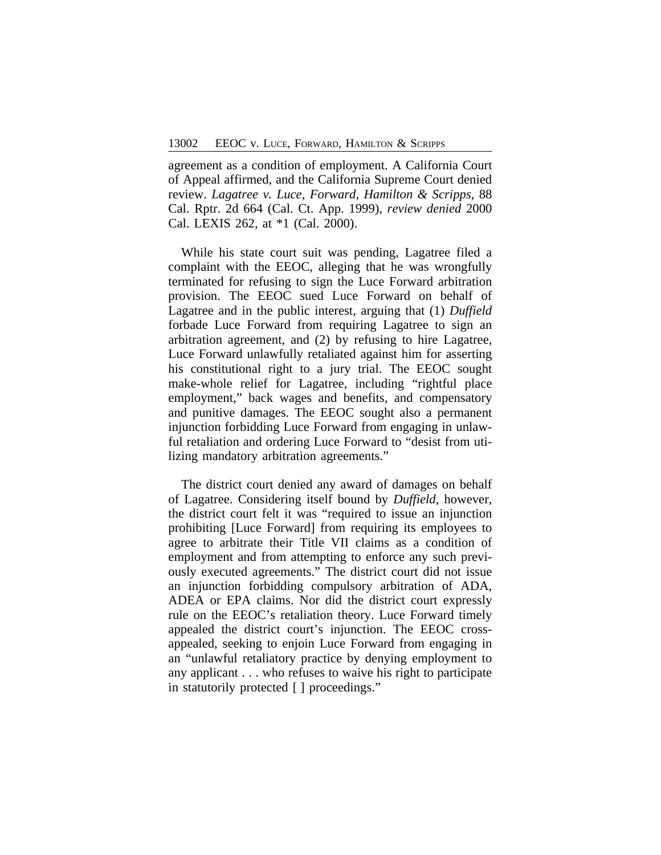agreement as a condition of employment. A California Court of Appeal affirmed, and the California Supreme Court denied review. *Lagatree v. Luce, Forward, Hamilton & Scripps*, 88 Cal. Rptr. 2d 664 (Cal. Ct. App. 1999), *review denied* 2000 Cal. LEXIS 262, at \*1 (Cal. 2000).

While his state court suit was pending, Lagatree filed a complaint with the EEOC, alleging that he was wrongfully terminated for refusing to sign the Luce Forward arbitration provision. The EEOC sued Luce Forward on behalf of Lagatree and in the public interest, arguing that (1) *Duffield* forbade Luce Forward from requiring Lagatree to sign an arbitration agreement, and (2) by refusing to hire Lagatree, Luce Forward unlawfully retaliated against him for asserting his constitutional right to a jury trial. The EEOC sought make-whole relief for Lagatree, including "rightful place employment," back wages and benefits, and compensatory and punitive damages. The EEOC sought also a permanent injunction forbidding Luce Forward from engaging in unlawful retaliation and ordering Luce Forward to "desist from utilizing mandatory arbitration agreements."

The district court denied any award of damages on behalf of Lagatree. Considering itself bound by *Duffield*, however, the district court felt it was "required to issue an injunction prohibiting [Luce Forward] from requiring its employees to agree to arbitrate their Title VII claims as a condition of employment and from attempting to enforce any such previously executed agreements." The district court did not issue an injunction forbidding compulsory arbitration of ADA, ADEA or EPA claims. Nor did the district court expressly rule on the EEOC's retaliation theory. Luce Forward timely appealed the district court's injunction. The EEOC crossappealed, seeking to enjoin Luce Forward from engaging in an "unlawful retaliatory practice by denying employment to any applicant . . . who refuses to waive his right to participate in statutorily protected [ ] proceedings."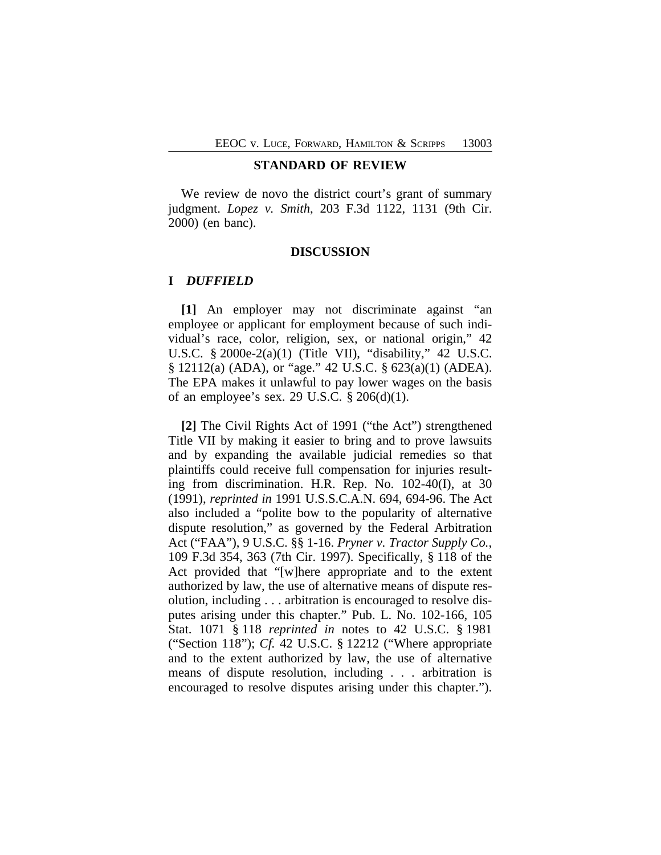## **STANDARD OF REVIEW**

We review de novo the district court's grant of summary judgment. *Lopez v. Smith*, 203 F.3d 1122, 1131 (9th Cir. 2000) (en banc).

## **DISCUSSION**

## **I** *DUFFIELD*

**[1]** An employer may not discriminate against "an employee or applicant for employment because of such individual's race, color, religion, sex, or national origin," 42 U.S.C. § 2000e-2(a)(1) (Title VII), "disability," 42 U.S.C. § 12112(a) (ADA), or "age." 42 U.S.C. § 623(a)(1) (ADEA). The EPA makes it unlawful to pay lower wages on the basis of an employee's sex. 29 U.S.C.  $\S 206(d)(1)$ .

**[2]** The Civil Rights Act of 1991 ("the Act") strengthened Title VII by making it easier to bring and to prove lawsuits and by expanding the available judicial remedies so that plaintiffs could receive full compensation for injuries resulting from discrimination. H.R. Rep. No. 102-40(I), at 30 (1991), *reprinted in* 1991 U.S.S.C.A.N. 694, 694-96. The Act also included a "polite bow to the popularity of alternative dispute resolution," as governed by the Federal Arbitration Act ("FAA"), 9 U.S.C. §§ 1-16. *Pryner v. Tractor Supply Co.*, 109 F.3d 354, 363 (7th Cir. 1997). Specifically, § 118 of the Act provided that "[w]here appropriate and to the extent authorized by law, the use of alternative means of dispute resolution, including . . . arbitration is encouraged to resolve disputes arising under this chapter." Pub. L. No. 102-166, 105 Stat. 1071 § 118 *reprinted in* notes to 42 U.S.C. § 1981 ("Section 118"); *Cf.* 42 U.S.C. § 12212 ("Where appropriate and to the extent authorized by law, the use of alternative means of dispute resolution, including . . . arbitration is encouraged to resolve disputes arising under this chapter.").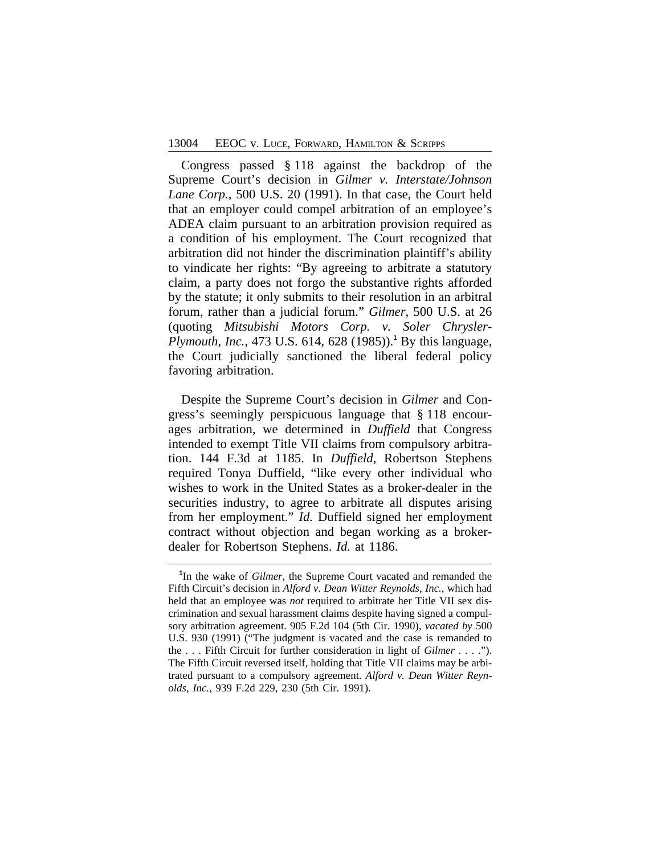Congress passed § 118 against the backdrop of the Supreme Court's decision in *Gilmer v. Interstate/Johnson Lane Corp.*, 500 U.S. 20 (1991). In that case, the Court held that an employer could compel arbitration of an employee's ADEA claim pursuant to an arbitration provision required as a condition of his employment. The Court recognized that arbitration did not hinder the discrimination plaintiff's ability to vindicate her rights: "By agreeing to arbitrate a statutory claim, a party does not forgo the substantive rights afforded by the statute; it only submits to their resolution in an arbitral forum, rather than a judicial forum." *Gilmer*, 500 U.S. at 26 (quoting *Mitsubishi Motors Corp. v. Soler Chrysler-Plymouth, Inc.*, 473 U.S. 614, 628 (1985)).**<sup>1</sup>** By this language, the Court judicially sanctioned the liberal federal policy favoring arbitration.

Despite the Supreme Court's decision in *Gilmer* and Congress's seemingly perspicuous language that § 118 encourages arbitration, we determined in *Duffield* that Congress intended to exempt Title VII claims from compulsory arbitration. 144 F.3d at 1185. In *Duffield*, Robertson Stephens required Tonya Duffield, "like every other individual who wishes to work in the United States as a broker-dealer in the securities industry, to agree to arbitrate all disputes arising from her employment." *Id.* Duffield signed her employment contract without objection and began working as a brokerdealer for Robertson Stephens. *Id.* at 1186.

**<sup>1</sup>** In the wake of *Gilmer*, the Supreme Court vacated and remanded the Fifth Circuit's decision in *Alford v. Dean Witter Reynolds, Inc.*, which had held that an employee was *not* required to arbitrate her Title VII sex discrimination and sexual harassment claims despite having signed a compulsory arbitration agreement. 905 F.2d 104 (5th Cir. 1990), *vacated by* 500 U.S. 930 (1991) ("The judgment is vacated and the case is remanded to the . . . Fifth Circuit for further consideration in light of *Gilmer* . . . ."). The Fifth Circuit reversed itself, holding that Title VII claims may be arbitrated pursuant to a compulsory agreement. *Alford v. Dean Witter Reynolds, Inc.*, 939 F.2d 229, 230 (5th Cir. 1991).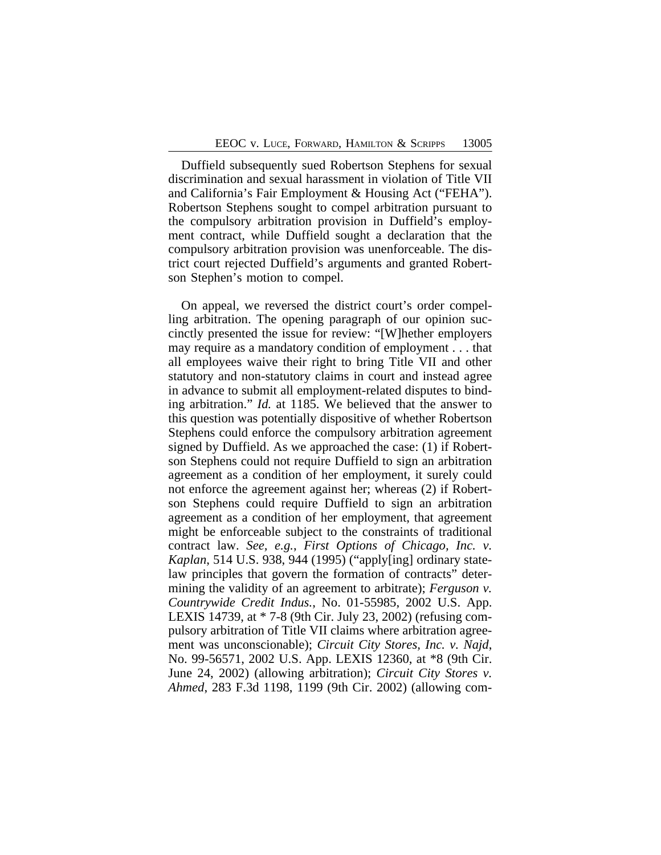Duffield subsequently sued Robertson Stephens for sexual discrimination and sexual harassment in violation of Title VII and California's Fair Employment & Housing Act ("FEHA"). Robertson Stephens sought to compel arbitration pursuant to the compulsory arbitration provision in Duffield's employment contract, while Duffield sought a declaration that the compulsory arbitration provision was unenforceable. The district court rejected Duffield's arguments and granted Robertson Stephen's motion to compel.

On appeal, we reversed the district court's order compelling arbitration. The opening paragraph of our opinion succinctly presented the issue for review: "[W]hether employers may require as a mandatory condition of employment . . . that all employees waive their right to bring Title VII and other statutory and non-statutory claims in court and instead agree in advance to submit all employment-related disputes to binding arbitration." *Id.* at 1185. We believed that the answer to this question was potentially dispositive of whether Robertson Stephens could enforce the compulsory arbitration agreement signed by Duffield. As we approached the case: (1) if Robertson Stephens could not require Duffield to sign an arbitration agreement as a condition of her employment, it surely could not enforce the agreement against her; whereas (2) if Robertson Stephens could require Duffield to sign an arbitration agreement as a condition of her employment, that agreement might be enforceable subject to the constraints of traditional contract law. *See, e.g.*, *First Options of Chicago, Inc. v. Kaplan*, 514 U.S. 938, 944 (1995) ("apply[ing] ordinary statelaw principles that govern the formation of contracts" determining the validity of an agreement to arbitrate); *Ferguson v. Countrywide Credit Indus.*, No. 01-55985, 2002 U.S. App. LEXIS 14739, at \* 7-8 (9th Cir. July 23, 2002) (refusing compulsory arbitration of Title VII claims where arbitration agreement was unconscionable); *Circuit City Stores, Inc. v. Najd*, No. 99-56571, 2002 U.S. App. LEXIS 12360, at \*8 (9th Cir. June 24, 2002) (allowing arbitration); *Circuit City Stores v. Ahmed*, 283 F.3d 1198, 1199 (9th Cir. 2002) (allowing com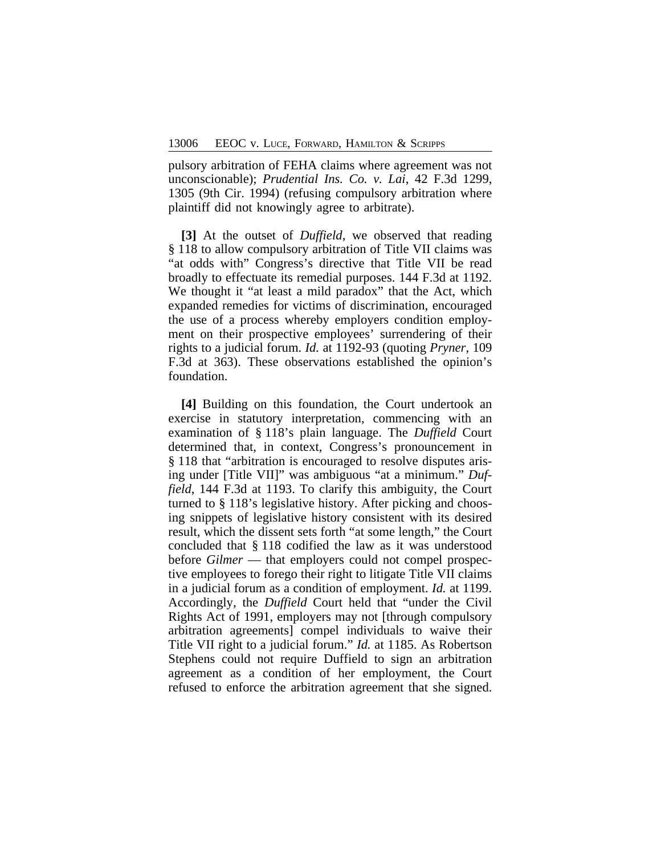pulsory arbitration of FEHA claims where agreement was not unconscionable); *Prudential Ins. Co. v. Lai*, 42 F.3d 1299, 1305 (9th Cir. 1994) (refusing compulsory arbitration where plaintiff did not knowingly agree to arbitrate).

**[3]** At the outset of *Duffield*, we observed that reading § 118 to allow compulsory arbitration of Title VII claims was "at odds with" Congress's directive that Title VII be read broadly to effectuate its remedial purposes. 144 F.3d at 1192. We thought it "at least a mild paradox" that the Act, which expanded remedies for victims of discrimination, encouraged the use of a process whereby employers condition employment on their prospective employees' surrendering of their rights to a judicial forum. *Id.* at 1192-93 (quoting *Pryner*, 109 F.3d at 363). These observations established the opinion's foundation.

**[4]** Building on this foundation, the Court undertook an exercise in statutory interpretation, commencing with an examination of § 118's plain language. The *Duffield* Court determined that, in context, Congress's pronouncement in § 118 that "arbitration is encouraged to resolve disputes arising under [Title VII]" was ambiguous "at a minimum." *Duffield*, 144 F.3d at 1193. To clarify this ambiguity, the Court turned to § 118's legislative history. After picking and choosing snippets of legislative history consistent with its desired result, which the dissent sets forth "at some length," the Court concluded that § 118 codified the law as it was understood before *Gilmer* — that employers could not compel prospective employees to forego their right to litigate Title VII claims in a judicial forum as a condition of employment. *Id.* at 1199. Accordingly, the *Duffield* Court held that "under the Civil Rights Act of 1991, employers may not [through compulsory arbitration agreements] compel individuals to waive their Title VII right to a judicial forum." *Id.* at 1185. As Robertson Stephens could not require Duffield to sign an arbitration agreement as a condition of her employment, the Court refused to enforce the arbitration agreement that she signed.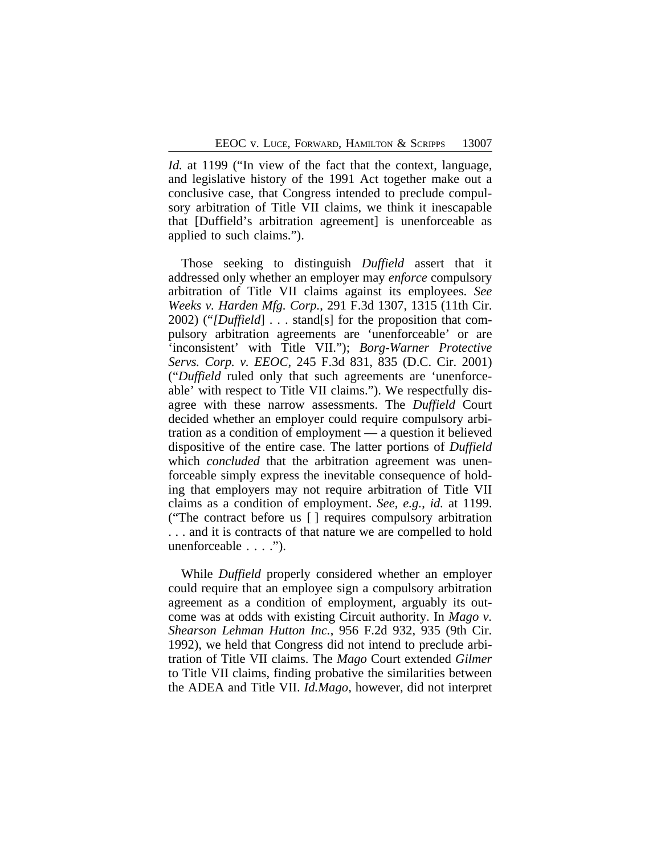*Id.* at 1199 ("In view of the fact that the context, language, and legislative history of the 1991 Act together make out a conclusive case, that Congress intended to preclude compulsory arbitration of Title VII claims, we think it inescapable that [Duffield's arbitration agreement] is unenforceable as applied to such claims.").

Those seeking to distinguish *Duffield* assert that it addressed only whether an employer may *enforce* compulsory arbitration of Title VII claims against its employees. *See Weeks v. Harden Mfg. Corp.*, 291 F.3d 1307, 1315 (11th Cir. 2002) ("*[Duffield*] . . . stand[s] for the proposition that compulsory arbitration agreements are 'unenforceable' or are 'inconsistent' with Title VII."); *Borg-Warner Protective Servs. Corp. v. EEOC*, 245 F.3d 831, 835 (D.C. Cir. 2001) ("*Duffield* ruled only that such agreements are 'unenforceable' with respect to Title VII claims."). We respectfully disagree with these narrow assessments. The *Duffield* Court decided whether an employer could require compulsory arbitration as a condition of employment — a question it believed dispositive of the entire case. The latter portions of *Duffield* which *concluded* that the arbitration agreement was unenforceable simply express the inevitable consequence of holding that employers may not require arbitration of Title VII claims as a condition of employment. *See, e.g.*, *id.* at 1199. ("The contract before us [ ] requires compulsory arbitration . . . and it is contracts of that nature we are compelled to hold unenforceable . . . .").

While *Duffield* properly considered whether an employer could require that an employee sign a compulsory arbitration agreement as a condition of employment, arguably its outcome was at odds with existing Circuit authority. In *Mago v. Shearson Lehman Hutton Inc.*, 956 F.2d 932, 935 (9th Cir. 1992), we held that Congress did not intend to preclude arbitration of Title VII claims. The *Mago* Court extended *Gilmer* to Title VII claims, finding probative the similarities between the ADEA and Title VII. *Id.Mago*, however, did not interpret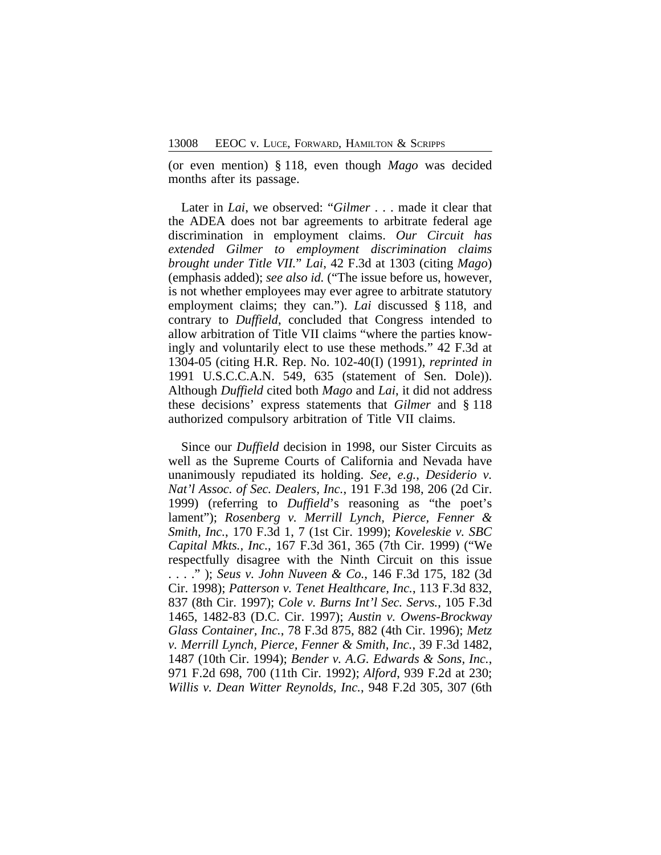(or even mention) § 118, even though *Mago* was decided months after its passage.

Later in *Lai*, we observed: "*Gilmer* . . . made it clear that the ADEA does not bar agreements to arbitrate federal age discrimination in employment claims. *Our Circuit has extended Gilmer to employment discrimination claims brought under Title VII.*" *Lai*, 42 F.3d at 1303 (citing *Mago*) (emphasis added); *see also id.* ("The issue before us, however, is not whether employees may ever agree to arbitrate statutory employment claims; they can."). *Lai* discussed § 118, and contrary to *Duffield*, concluded that Congress intended to allow arbitration of Title VII claims "where the parties knowingly and voluntarily elect to use these methods." 42 F.3d at 1304-05 (citing H.R. Rep. No. 102-40(I) (1991), *reprinted in* 1991 U.S.C.C.A.N. 549, 635 (statement of Sen. Dole)). Although *Duffield* cited both *Mago* and *Lai*, it did not address these decisions' express statements that *Gilmer* and § 118 authorized compulsory arbitration of Title VII claims.

Since our *Duffield* decision in 1998, our Sister Circuits as well as the Supreme Courts of California and Nevada have unanimously repudiated its holding. *See, e.g.*, *Desiderio v. Nat'l Assoc. of Sec. Dealers, Inc.*, 191 F.3d 198, 206 (2d Cir. 1999) (referring to *Duffield*'s reasoning as "the poet's lament"); *Rosenberg v. Merrill Lynch, Pierce, Fenner & Smith, Inc.*, 170 F.3d 1, 7 (1st Cir. 1999); *Koveleskie v. SBC Capital Mkts., Inc.*, 167 F.3d 361, 365 (7th Cir. 1999) ("We respectfully disagree with the Ninth Circuit on this issue . . . ." ); *Seus v. John Nuveen & Co.*, 146 F.3d 175, 182 (3d Cir. 1998); *Patterson v. Tenet Healthcare, Inc.*, 113 F.3d 832, 837 (8th Cir. 1997); *Cole v. Burns Int'l Sec. Servs.*, 105 F.3d 1465, 1482-83 (D.C. Cir. 1997); *Austin v. Owens-Brockway Glass Container, Inc.*, 78 F.3d 875, 882 (4th Cir. 1996); *Metz v. Merrill Lynch, Pierce, Fenner & Smith, Inc.*, 39 F.3d 1482, 1487 (10th Cir. 1994); *Bender v. A.G. Edwards & Sons, Inc.*, 971 F.2d 698, 700 (11th Cir. 1992); *Alford*, 939 F.2d at 230; *Willis v. Dean Witter Reynolds, Inc.*, 948 F.2d 305, 307 (6th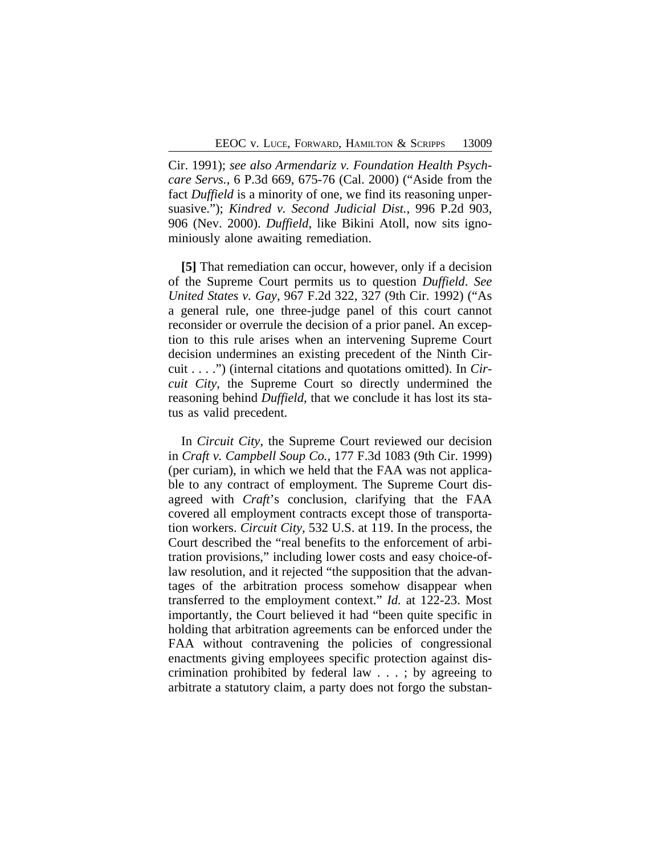Cir. 1991); *see also Armendariz v. Foundation Health Psychcare Servs.*, 6 P.3d 669, 675-76 (Cal. 2000) ("Aside from the fact *Duffield* is a minority of one, we find its reasoning unpersuasive."); *Kindred v. Second Judicial Dist.*, 996 P.2d 903, 906 (Nev. 2000). *Duffield*, like Bikini Atoll, now sits ignominiously alone awaiting remediation.

**[5]** That remediation can occur, however, only if a decision of the Supreme Court permits us to question *Duffield*. *See United States v. Gay*, 967 F.2d 322, 327 (9th Cir. 1992) ("As a general rule, one three-judge panel of this court cannot reconsider or overrule the decision of a prior panel. An exception to this rule arises when an intervening Supreme Court decision undermines an existing precedent of the Ninth Circuit . . . .") (internal citations and quotations omitted). In *Circuit City*, the Supreme Court so directly undermined the reasoning behind *Duffield*, that we conclude it has lost its status as valid precedent.

In *Circuit City*, the Supreme Court reviewed our decision in *Craft v. Campbell Soup Co.*, 177 F.3d 1083 (9th Cir. 1999) (per curiam), in which we held that the FAA was not applicable to any contract of employment. The Supreme Court disagreed with *Craft*'s conclusion, clarifying that the FAA covered all employment contracts except those of transportation workers. *Circuit City*, 532 U.S. at 119. In the process, the Court described the "real benefits to the enforcement of arbitration provisions," including lower costs and easy choice-oflaw resolution, and it rejected "the supposition that the advantages of the arbitration process somehow disappear when transferred to the employment context." *Id.* at 122-23. Most importantly, the Court believed it had "been quite specific in holding that arbitration agreements can be enforced under the FAA without contravening the policies of congressional enactments giving employees specific protection against discrimination prohibited by federal law . . . ; by agreeing to arbitrate a statutory claim, a party does not forgo the substan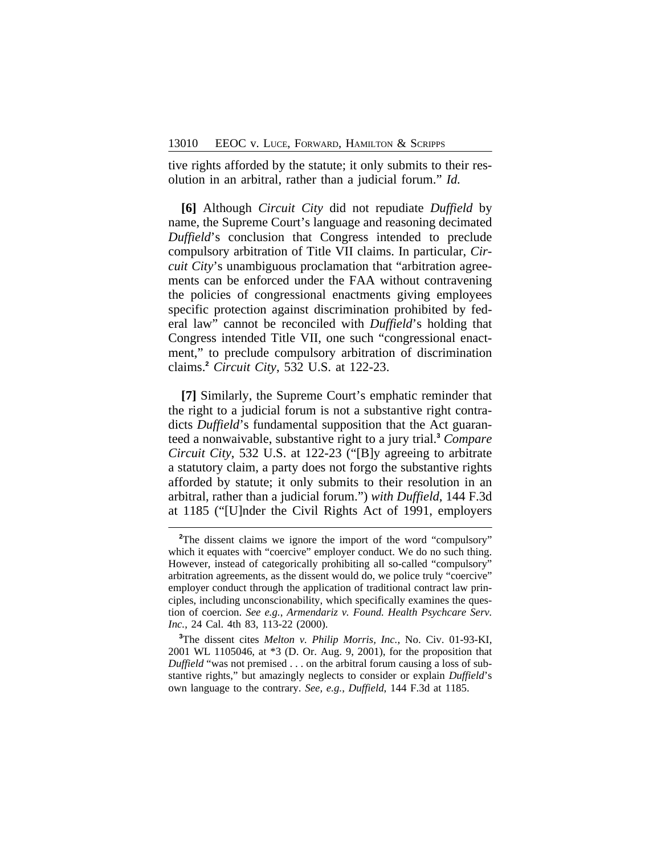tive rights afforded by the statute; it only submits to their resolution in an arbitral, rather than a judicial forum." *Id.*

**[6]** Although *Circuit City* did not repudiate *Duffield* by name, the Supreme Court's language and reasoning decimated *Duffield*'s conclusion that Congress intended to preclude compulsory arbitration of Title VII claims. In particular, *Circuit City*'s unambiguous proclamation that "arbitration agreements can be enforced under the FAA without contravening the policies of congressional enactments giving employees specific protection against discrimination prohibited by federal law" cannot be reconciled with *Duffield*'s holding that Congress intended Title VII, one such "congressional enactment," to preclude compulsory arbitration of discrimination claims.**<sup>2</sup>** *Circuit City*, 532 U.S. at 122-23.

**[7]** Similarly, the Supreme Court's emphatic reminder that the right to a judicial forum is not a substantive right contradicts *Duffield*'s fundamental supposition that the Act guaranteed a nonwaivable, substantive right to a jury trial.**<sup>3</sup>** *Compare Circuit City*, 532 U.S. at 122-23 ("[B]y agreeing to arbitrate a statutory claim, a party does not forgo the substantive rights afforded by statute; it only submits to their resolution in an arbitral, rather than a judicial forum.") *with Duffield*, 144 F.3d at 1185 ("[U]nder the Civil Rights Act of 1991, employers

**<sup>3</sup>**The dissent cites *Melton v. Philip Morris, Inc.*, No. Civ. 01-93-KI, 2001 WL 1105046, at \*3 (D. Or. Aug. 9, 2001), for the proposition that *Duffield* "was not premised . . . on the arbitral forum causing a loss of substantive rights," but amazingly neglects to consider or explain *Duffield*'s own language to the contrary. *See, e.g.*, *Duffield*, 144 F.3d at 1185.

<sup>&</sup>lt;sup>2</sup>The dissent claims we ignore the import of the word "compulsory" which it equates with "coercive" employer conduct. We do no such thing. However, instead of categorically prohibiting all so-called "compulsory" arbitration agreements, as the dissent would do, we police truly "coercive" employer conduct through the application of traditional contract law principles, including unconscionability, which specifically examines the question of coercion. *See e.g.*, *Armendariz v. Found. Health Psychcare Serv. Inc.*, 24 Cal. 4th 83, 113-22 (2000).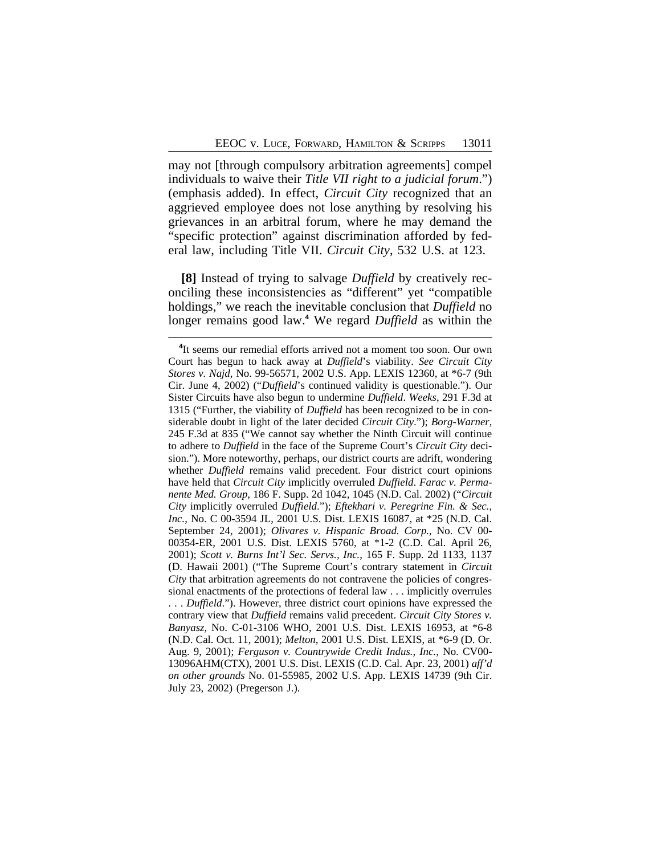may not [through compulsory arbitration agreements] compel individuals to waive their *Title VII right to a judicial forum*.") (emphasis added). In effect, *Circuit City* recognized that an aggrieved employee does not lose anything by resolving his grievances in an arbitral forum, where he may demand the "specific protection" against discrimination afforded by federal law, including Title VII. *Circuit City*, 532 U.S. at 123.

**[8]** Instead of trying to salvage *Duffield* by creatively reconciling these inconsistencies as "different" yet "compatible holdings," we reach the inevitable conclusion that *Duffield* no longer remains good law.**<sup>4</sup>** We regard *Duffield* as within the

<sup>&</sup>lt;sup>4</sup>It seems our remedial efforts arrived not a moment too soon. Our own Court has begun to hack away at *Duffield*'s viability. *See Circuit City Stores v. Najd*, No. 99-56571, 2002 U.S. App. LEXIS 12360, at \*6-7 (9th Cir. June 4, 2002) ("*Duffield*'s continued validity is questionable."). Our Sister Circuits have also begun to undermine *Duffield*. *Weeks*, 291 F.3d at 1315 ("Further, the viability of *Duffield* has been recognized to be in considerable doubt in light of the later decided *Circuit City*."); *Borg-Warner*, 245 F.3d at 835 ("We cannot say whether the Ninth Circuit will continue to adhere to *Duffield* in the face of the Supreme Court's *Circuit City* decision."). More noteworthy, perhaps, our district courts are adrift, wondering whether *Duffield* remains valid precedent. Four district court opinions have held that *Circuit City* implicitly overruled *Duffield*. *Farac v. Permanente Med. Group*, 186 F. Supp. 2d 1042, 1045 (N.D. Cal. 2002) ("*Circuit City* implicitly overruled *Duffield*."); *Eftekhari v. Peregrine Fin. & Sec., Inc.*, No. C 00-3594 JL, 2001 U.S. Dist. LEXIS 16087, at \*25 (N.D. Cal. September 24, 2001); *Olivares v. Hispanic Broad. Corp.*, No. CV 00- 00354-ER, 2001 U.S. Dist. LEXIS 5760, at \*1-2 (C.D. Cal. April 26, 2001); *Scott v. Burns Int'l Sec. Servs., Inc.*, 165 F. Supp. 2d 1133, 1137 (D. Hawaii 2001) ("The Supreme Court's contrary statement in *Circuit City* that arbitration agreements do not contravene the policies of congressional enactments of the protections of federal law . . . implicitly overrules . . . *Duffield*."). However, three district court opinions have expressed the contrary view that *Duffield* remains valid precedent. *Circuit City Stores v. Banyasz*, No. C-01-3106 WHO, 2001 U.S. Dist. LEXIS 16953, at \*6-8 (N.D. Cal. Oct. 11, 2001); *Melton*, 2001 U.S. Dist. LEXIS, at \*6-9 (D. Or. Aug. 9, 2001); *Ferguson v. Countrywide Credit Indus., Inc.*, No. CV00- 13096AHM(CTX), 2001 U.S. Dist. LEXIS (C.D. Cal. Apr. 23, 2001) *aff'd on other grounds* No. 01-55985, 2002 U.S. App. LEXIS 14739 (9th Cir. July 23, 2002) (Pregerson J.).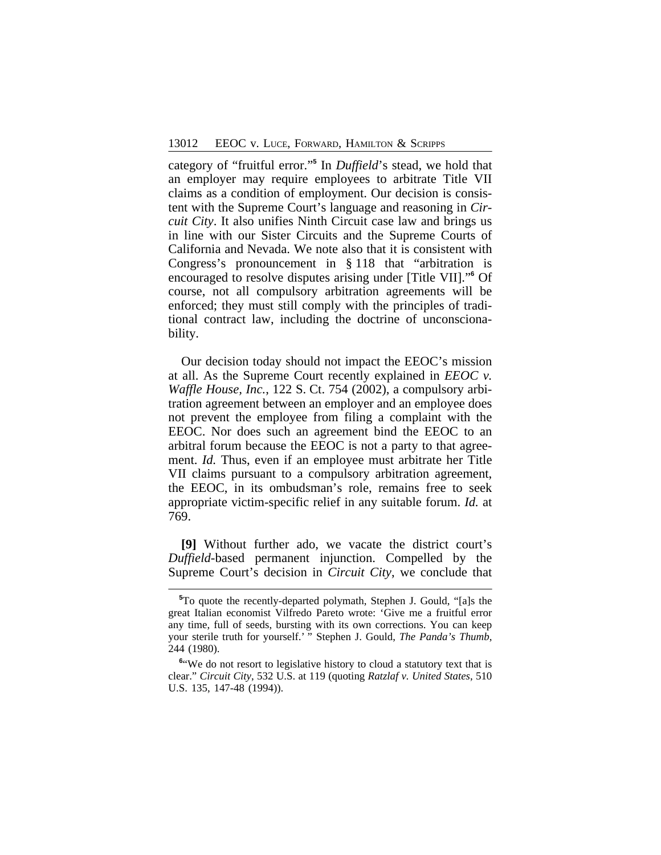category of "fruitful error." **5** In *Duffield*'s stead, we hold that an employer may require employees to arbitrate Title VII claims as a condition of employment. Our decision is consistent with the Supreme Court's language and reasoning in *Circuit City*. It also unifies Ninth Circuit case law and brings us in line with our Sister Circuits and the Supreme Courts of California and Nevada. We note also that it is consistent with Congress's pronouncement in § 118 that "arbitration is encouraged to resolve disputes arising under [Title VII]." **6** Of course, not all compulsory arbitration agreements will be enforced; they must still comply with the principles of traditional contract law, including the doctrine of unconscionability.

Our decision today should not impact the EEOC's mission at all. As the Supreme Court recently explained in *EEOC v. Waffle House, Inc.*, 122 S. Ct. 754 (2002), a compulsory arbitration agreement between an employer and an employee does not prevent the employee from filing a complaint with the EEOC. Nor does such an agreement bind the EEOC to an arbitral forum because the EEOC is not a party to that agreement. *Id.* Thus, even if an employee must arbitrate her Title VII claims pursuant to a compulsory arbitration agreement, the EEOC, in its ombudsman's role, remains free to seek appropriate victim-specific relief in any suitable forum. *Id.* at 769.

**[9]** Without further ado, we vacate the district court's *Duffield*-based permanent injunction. Compelled by the Supreme Court's decision in *Circuit City*, we conclude that

**<sup>5</sup>**To quote the recently-departed polymath, Stephen J. Gould, "[a]s the great Italian economist Vilfredo Pareto wrote: 'Give me a fruitful error any time, full of seeds, bursting with its own corrections. You can keep your sterile truth for yourself.' " Stephen J. Gould, *The Panda's Thumb*, 244 (1980).

<sup>&</sup>lt;sup>6"</sup>We do not resort to legislative history to cloud a statutory text that is clear." *Circuit City*, 532 U.S. at 119 (quoting *Ratzlaf v. United States*, 510 U.S. 135, 147-48 (1994)).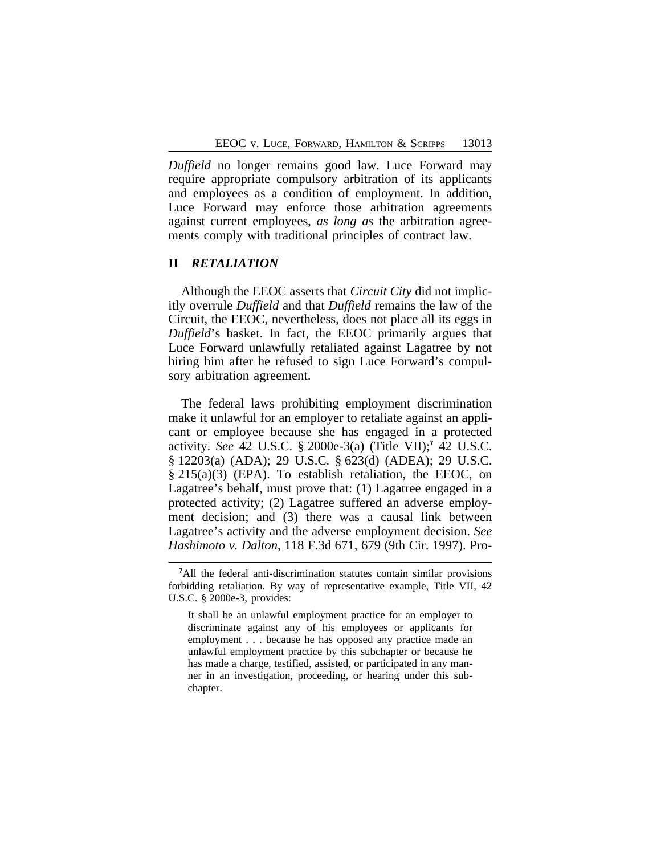*Duffield* no longer remains good law. Luce Forward may require appropriate compulsory arbitration of its applicants and employees as a condition of employment. In addition, Luce Forward may enforce those arbitration agreements against current employees, *as long as* the arbitration agreements comply with traditional principles of contract law.

## **II** *RETALIATION*

Although the EEOC asserts that *Circuit City* did not implicitly overrule *Duffield* and that *Duffield* remains the law of the Circuit, the EEOC, nevertheless, does not place all its eggs in *Duffield*'s basket. In fact, the EEOC primarily argues that Luce Forward unlawfully retaliated against Lagatree by not hiring him after he refused to sign Luce Forward's compulsory arbitration agreement.

The federal laws prohibiting employment discrimination make it unlawful for an employer to retaliate against an applicant or employee because she has engaged in a protected activity. *See* 42 U.S.C. § 2000e-3(a) (Title VII);**<sup>7</sup>** 42 U.S.C. § 12203(a) (ADA); 29 U.S.C. § 623(d) (ADEA); 29 U.S.C. § 215(a)(3) (EPA). To establish retaliation, the EEOC, on Lagatree's behalf, must prove that: (1) Lagatree engaged in a protected activity; (2) Lagatree suffered an adverse employment decision; and (3) there was a causal link between Lagatree's activity and the adverse employment decision. *See Hashimoto v. Dalton*, 118 F.3d 671, 679 (9th Cir. 1997). Pro-

**<sup>7</sup>**All the federal anti-discrimination statutes contain similar provisions forbidding retaliation. By way of representative example, Title VII, 42 U.S.C. § 2000e-3, provides:

It shall be an unlawful employment practice for an employer to discriminate against any of his employees or applicants for employment . . . because he has opposed any practice made an unlawful employment practice by this subchapter or because he has made a charge, testified, assisted, or participated in any manner in an investigation, proceeding, or hearing under this subchapter.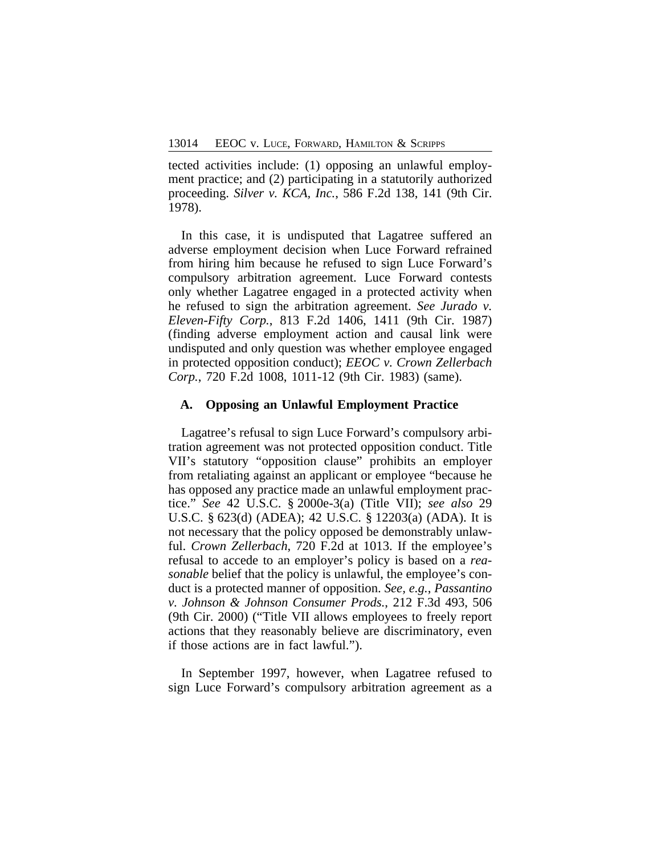tected activities include: (1) opposing an unlawful employment practice; and (2) participating in a statutorily authorized proceeding. *Silver v. KCA, Inc.*, 586 F.2d 138, 141 (9th Cir. 1978).

In this case, it is undisputed that Lagatree suffered an adverse employment decision when Luce Forward refrained from hiring him because he refused to sign Luce Forward's compulsory arbitration agreement. Luce Forward contests only whether Lagatree engaged in a protected activity when he refused to sign the arbitration agreement. *See Jurado v. Eleven-Fifty Corp.*, 813 F.2d 1406, 1411 (9th Cir. 1987) (finding adverse employment action and causal link were undisputed and only question was whether employee engaged in protected opposition conduct); *EEOC v. Crown Zellerbach Corp.*, 720 F.2d 1008, 1011-12 (9th Cir. 1983) (same).

#### **A. Opposing an Unlawful Employment Practice**

Lagatree's refusal to sign Luce Forward's compulsory arbitration agreement was not protected opposition conduct. Title VII's statutory "opposition clause" prohibits an employer from retaliating against an applicant or employee "because he has opposed any practice made an unlawful employment practice." *See* 42 U.S.C. § 2000e-3(a) (Title VII); *see also* 29 U.S.C. § 623(d) (ADEA); 42 U.S.C. § 12203(a) (ADA). It is not necessary that the policy opposed be demonstrably unlawful. *Crown Zellerbach*, 720 F.2d at 1013. If the employee's refusal to accede to an employer's policy is based on a *reasonable* belief that the policy is unlawful, the employee's conduct is a protected manner of opposition. *See, e.g.*, *Passantino v. Johnson & Johnson Consumer Prods.*, 212 F.3d 493, 506 (9th Cir. 2000) ("Title VII allows employees to freely report actions that they reasonably believe are discriminatory, even if those actions are in fact lawful.").

In September 1997, however, when Lagatree refused to sign Luce Forward's compulsory arbitration agreement as a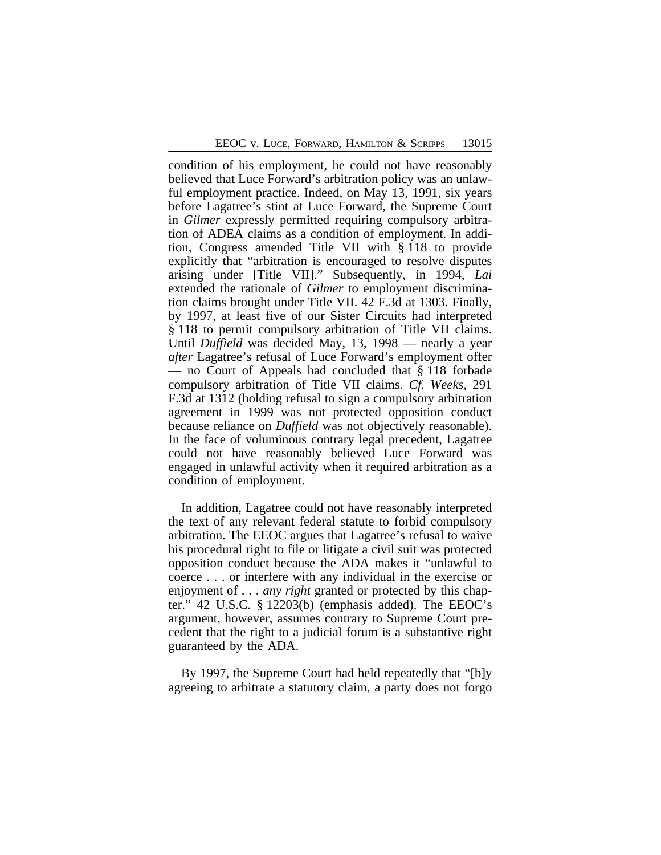condition of his employment, he could not have reasonably believed that Luce Forward's arbitration policy was an unlawful employment practice. Indeed, on May 13, 1991, six years before Lagatree's stint at Luce Forward, the Supreme Court in *Gilmer* expressly permitted requiring compulsory arbitration of ADEA claims as a condition of employment. In addition, Congress amended Title VII with § 118 to provide explicitly that "arbitration is encouraged to resolve disputes arising under [Title VII]." Subsequently, in 1994, *Lai* extended the rationale of *Gilmer* to employment discrimination claims brought under Title VII. 42 F.3d at 1303. Finally, by 1997, at least five of our Sister Circuits had interpreted § 118 to permit compulsory arbitration of Title VII claims. Until *Duffield* was decided May, 13, 1998 — nearly a year *after* Lagatree's refusal of Luce Forward's employment offer — no Court of Appeals had concluded that § 118 forbade compulsory arbitration of Title VII claims. *Cf. Weeks*, 291 F.3d at 1312 (holding refusal to sign a compulsory arbitration agreement in 1999 was not protected opposition conduct because reliance on *Duffield* was not objectively reasonable). In the face of voluminous contrary legal precedent, Lagatree could not have reasonably believed Luce Forward was engaged in unlawful activity when it required arbitration as a condition of employment.

In addition, Lagatree could not have reasonably interpreted the text of any relevant federal statute to forbid compulsory arbitration. The EEOC argues that Lagatree's refusal to waive his procedural right to file or litigate a civil suit was protected opposition conduct because the ADA makes it "unlawful to coerce . . . or interfere with any individual in the exercise or enjoyment of . . . *any right* granted or protected by this chapter." 42 U.S.C. § 12203(b) (emphasis added). The EEOC's argument, however, assumes contrary to Supreme Court precedent that the right to a judicial forum is a substantive right guaranteed by the ADA.

By 1997, the Supreme Court had held repeatedly that "[b]y agreeing to arbitrate a statutory claim, a party does not forgo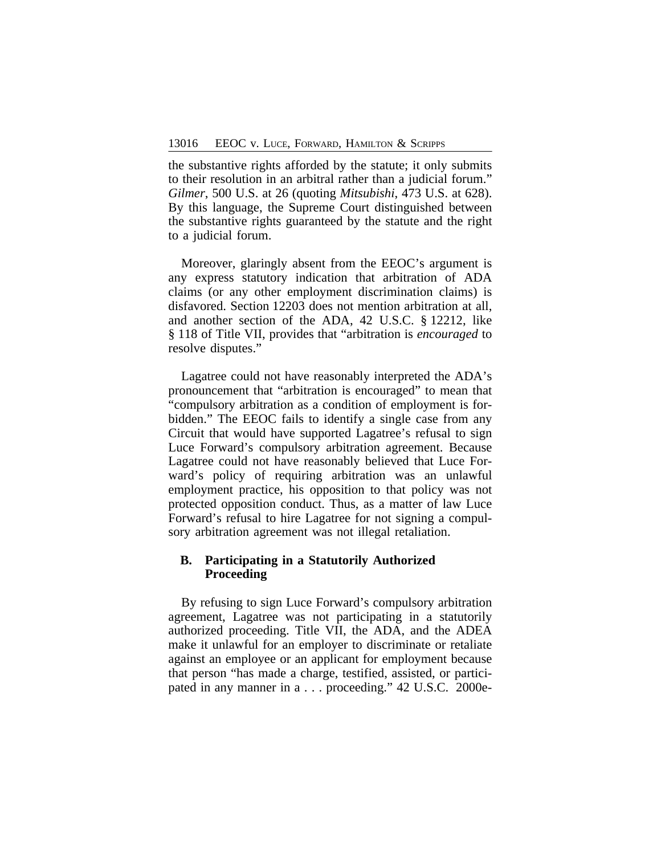the substantive rights afforded by the statute; it only submits to their resolution in an arbitral rather than a judicial forum." *Gilmer*, 500 U.S. at 26 (quoting *Mitsubishi*, 473 U.S. at 628). By this language, the Supreme Court distinguished between the substantive rights guaranteed by the statute and the right to a judicial forum.

Moreover, glaringly absent from the EEOC's argument is any express statutory indication that arbitration of ADA claims (or any other employment discrimination claims) is disfavored. Section 12203 does not mention arbitration at all, and another section of the ADA, 42 U.S.C. § 12212, like § 118 of Title VII, provides that "arbitration is *encouraged* to resolve disputes."

Lagatree could not have reasonably interpreted the ADA's pronouncement that "arbitration is encouraged" to mean that "compulsory arbitration as a condition of employment is forbidden." The EEOC fails to identify a single case from any Circuit that would have supported Lagatree's refusal to sign Luce Forward's compulsory arbitration agreement. Because Lagatree could not have reasonably believed that Luce Forward's policy of requiring arbitration was an unlawful employment practice, his opposition to that policy was not protected opposition conduct. Thus, as a matter of law Luce Forward's refusal to hire Lagatree for not signing a compulsory arbitration agreement was not illegal retaliation.

## **B. Participating in a Statutorily Authorized Proceeding**

By refusing to sign Luce Forward's compulsory arbitration agreement, Lagatree was not participating in a statutorily authorized proceeding. Title VII, the ADA, and the ADEA make it unlawful for an employer to discriminate or retaliate against an employee or an applicant for employment because that person "has made a charge, testified, assisted, or participated in any manner in a . . . proceeding." 42 U.S.C. 2000e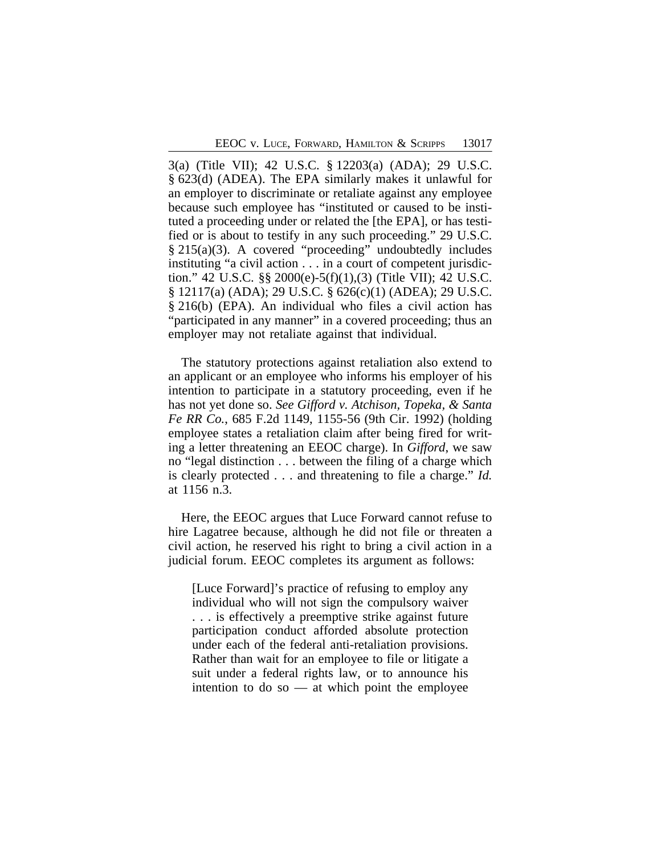3(a) (Title VII); 42 U.S.C. § 12203(a) (ADA); 29 U.S.C. § 623(d) (ADEA). The EPA similarly makes it unlawful for an employer to discriminate or retaliate against any employee because such employee has "instituted or caused to be instituted a proceeding under or related the [the EPA], or has testified or is about to testify in any such proceeding." 29 U.S.C. § 215(a)(3). A covered "proceeding" undoubtedly includes instituting "a civil action . . . in a court of competent jurisdiction." 42 U.S.C. §§ 2000(e)-5(f)(1),(3) (Title VII); 42 U.S.C. § 12117(a) (ADA); 29 U.S.C. § 626(c)(1) (ADEA); 29 U.S.C. § 216(b) (EPA). An individual who files a civil action has "participated in any manner" in a covered proceeding; thus an employer may not retaliate against that individual.

The statutory protections against retaliation also extend to an applicant or an employee who informs his employer of his intention to participate in a statutory proceeding, even if he has not yet done so. *See Gifford v. Atchison, Topeka, & Santa Fe RR Co.*, 685 F.2d 1149, 1155-56 (9th Cir. 1992) (holding employee states a retaliation claim after being fired for writing a letter threatening an EEOC charge). In *Gifford*, we saw no "legal distinction . . . between the filing of a charge which is clearly protected . . . and threatening to file a charge." *Id.* at 1156 n.3.

Here, the EEOC argues that Luce Forward cannot refuse to hire Lagatree because, although he did not file or threaten a civil action, he reserved his right to bring a civil action in a judicial forum. EEOC completes its argument as follows:

[Luce Forward]'s practice of refusing to employ any individual who will not sign the compulsory waiver . . . is effectively a preemptive strike against future participation conduct afforded absolute protection under each of the federal anti-retaliation provisions. Rather than wait for an employee to file or litigate a suit under a federal rights law, or to announce his intention to do so  $-$  at which point the employee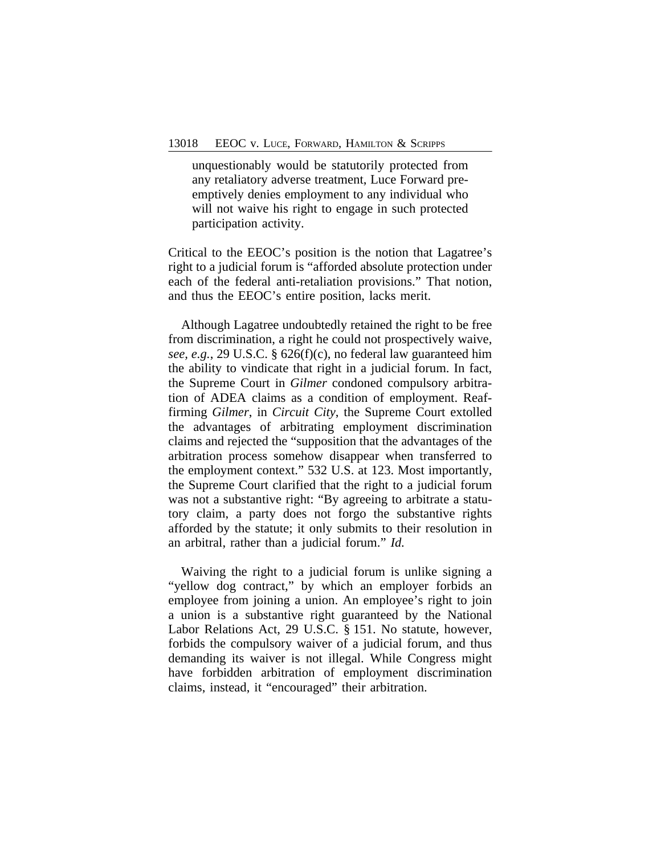unquestionably would be statutorily protected from any retaliatory adverse treatment, Luce Forward preemptively denies employment to any individual who will not waive his right to engage in such protected participation activity.

Critical to the EEOC's position is the notion that Lagatree's right to a judicial forum is "afforded absolute protection under each of the federal anti-retaliation provisions." That notion, and thus the EEOC's entire position, lacks merit.

Although Lagatree undoubtedly retained the right to be free from discrimination, a right he could not prospectively waive, *see, e.g.*, 29 U.S.C. § 626(f)(c), no federal law guaranteed him the ability to vindicate that right in a judicial forum. In fact, the Supreme Court in *Gilmer* condoned compulsory arbitration of ADEA claims as a condition of employment. Reaffirming *Gilmer*, in *Circuit City*, the Supreme Court extolled the advantages of arbitrating employment discrimination claims and rejected the "supposition that the advantages of the arbitration process somehow disappear when transferred to the employment context." 532 U.S. at 123. Most importantly, the Supreme Court clarified that the right to a judicial forum was not a substantive right: "By agreeing to arbitrate a statutory claim, a party does not forgo the substantive rights afforded by the statute; it only submits to their resolution in an arbitral, rather than a judicial forum." *Id.*

Waiving the right to a judicial forum is unlike signing a "yellow dog contract," by which an employer forbids an employee from joining a union. An employee's right to join a union is a substantive right guaranteed by the National Labor Relations Act, 29 U.S.C. § 151. No statute, however, forbids the compulsory waiver of a judicial forum, and thus demanding its waiver is not illegal. While Congress might have forbidden arbitration of employment discrimination claims, instead, it "encouraged" their arbitration.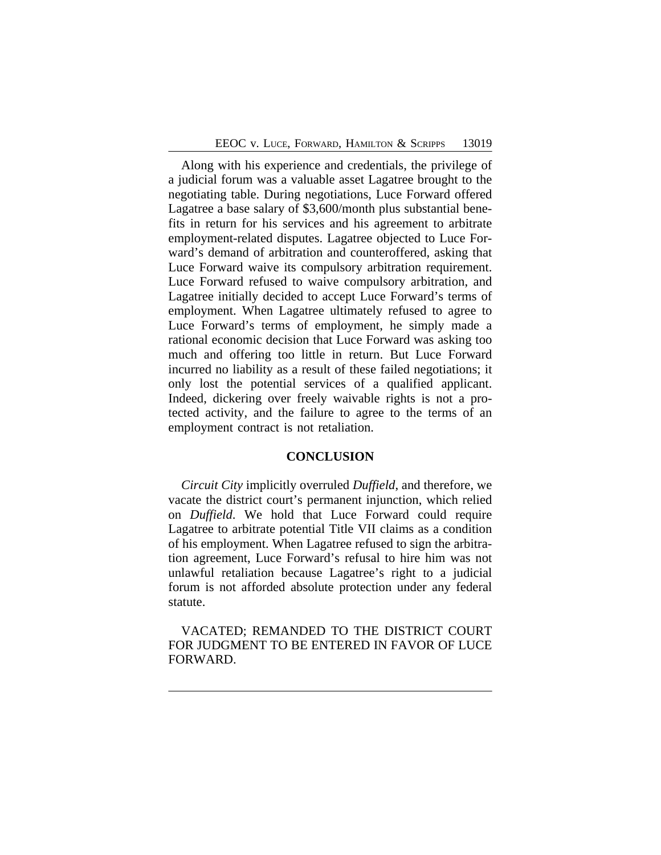Along with his experience and credentials, the privilege of a judicial forum was a valuable asset Lagatree brought to the negotiating table. During negotiations, Luce Forward offered Lagatree a base salary of \$3,600/month plus substantial benefits in return for his services and his agreement to arbitrate employment-related disputes. Lagatree objected to Luce Forward's demand of arbitration and counteroffered, asking that Luce Forward waive its compulsory arbitration requirement. Luce Forward refused to waive compulsory arbitration, and Lagatree initially decided to accept Luce Forward's terms of employment. When Lagatree ultimately refused to agree to Luce Forward's terms of employment, he simply made a rational economic decision that Luce Forward was asking too much and offering too little in return. But Luce Forward incurred no liability as a result of these failed negotiations; it only lost the potential services of a qualified applicant. Indeed, dickering over freely waivable rights is not a protected activity, and the failure to agree to the terms of an employment contract is not retaliation.

## **CONCLUSION**

*Circuit City* implicitly overruled *Duffield*, and therefore, we vacate the district court's permanent injunction, which relied on *Duffield*. We hold that Luce Forward could require Lagatree to arbitrate potential Title VII claims as a condition of his employment. When Lagatree refused to sign the arbitration agreement, Luce Forward's refusal to hire him was not unlawful retaliation because Lagatree's right to a judicial forum is not afforded absolute protection under any federal statute.

VACATED; REMANDED TO THE DISTRICT COURT FOR JUDGMENT TO BE ENTERED IN FAVOR OF LUCE FORWARD.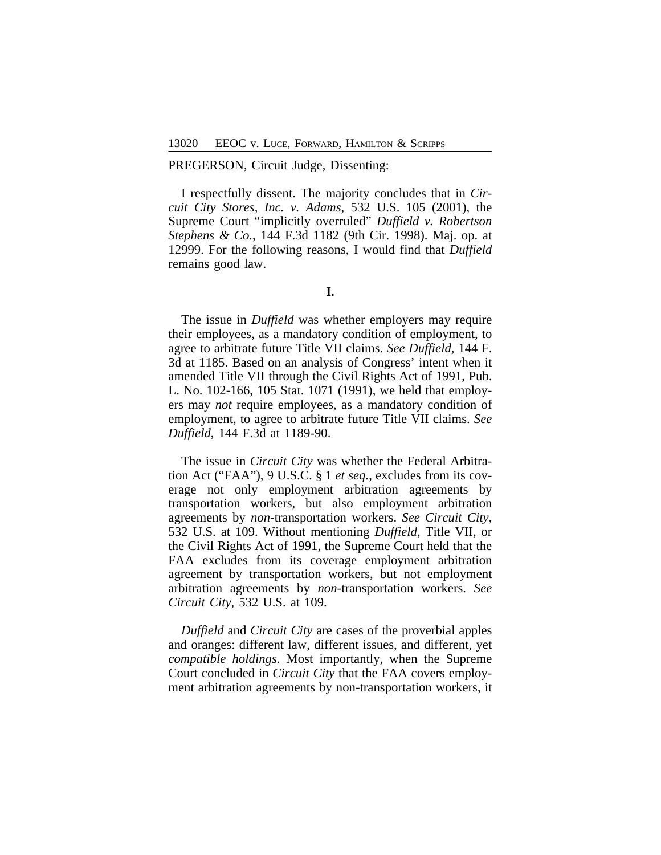#### PREGERSON, Circuit Judge, Dissenting:

I respectfully dissent. The majority concludes that in *Circuit City Stores, Inc. v. Adams*, 532 U.S. 105 (2001), the Supreme Court "implicitly overruled" *Duffield v. Robertson Stephens & Co.*, 144 F.3d 1182 (9th Cir. 1998). Maj. op. at 12999. For the following reasons, I would find that *Duffield* remains good law.

The issue in *Duffield* was whether employers may require their employees, as a mandatory condition of employment, to agree to arbitrate future Title VII claims. *See Duffield*, 144 F. 3d at 1185. Based on an analysis of Congress' intent when it amended Title VII through the Civil Rights Act of 1991, Pub. L. No. 102-166, 105 Stat. 1071 (1991), we held that employers may *not* require employees, as a mandatory condition of employment, to agree to arbitrate future Title VII claims. *See Duffield*, 144 F.3d at 1189-90.

The issue in *Circuit City* was whether the Federal Arbitration Act ("FAA"), 9 U.S.C. § 1 *et seq.*, excludes from its coverage not only employment arbitration agreements by transportation workers, but also employment arbitration agreements by *non*-transportation workers. *See Circuit City*, 532 U.S. at 109. Without mentioning *Duffield*, Title VII, or the Civil Rights Act of 1991, the Supreme Court held that the FAA excludes from its coverage employment arbitration agreement by transportation workers, but not employment arbitration agreements by *non*-transportation workers. *See Circuit City*, 532 U.S. at 109.

*Duffield* and *Circuit City* are cases of the proverbial apples and oranges: different law, different issues, and different, yet *compatible holdings*. Most importantly, when the Supreme Court concluded in *Circuit City* that the FAA covers employment arbitration agreements by non-transportation workers, it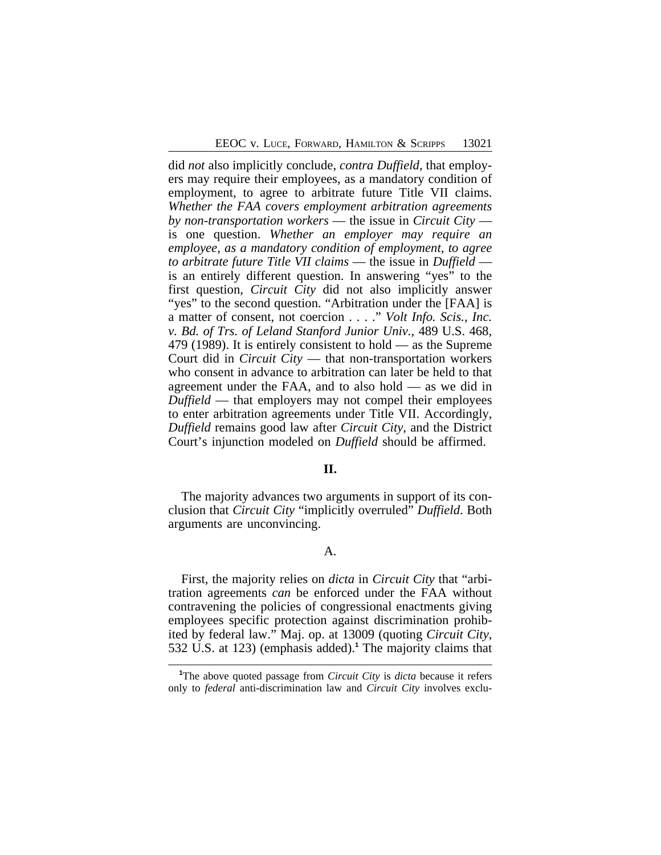did *not* also implicitly conclude, *contra Duffield*, that employers may require their employees, as a mandatory condition of employment, to agree to arbitrate future Title VII claims. *Whether the FAA covers employment arbitration agreements by non-transportation workers* — the issue in *Circuit City* is one question. *Whether an employer may require an employee, as a mandatory condition of employment, to agree to arbitrate future Title VII claims* — the issue in *Duffield* is an entirely different question. In answering "yes" to the first question, *Circuit City* did not also implicitly answer "yes" to the second question. "Arbitration under the [FAA] is a matter of consent, not coercion . . . ." *Volt Info. Scis., Inc. v. Bd. of Trs. of Leland Stanford Junior Univ.*, 489 U.S. 468, 479 (1989). It is entirely consistent to hold — as the Supreme Court did in *Circuit City* — that non-transportation workers who consent in advance to arbitration can later be held to that agreement under the FAA, and to also hold — as we did in *Duffield* — that employers may not compel their employees to enter arbitration agreements under Title VII. Accordingly, *Duffield* remains good law after *Circuit City*, and the District Court's injunction modeled on *Duffield* should be affirmed.

#### **II.**

The majority advances two arguments in support of its conclusion that *Circuit City* "implicitly overruled" *Duffield*. Both arguments are unconvincing.

## A.

First, the majority relies on *dicta* in *Circuit City* that "arbitration agreements *can* be enforced under the FAA without contravening the policies of congressional enactments giving employees specific protection against discrimination prohibited by federal law." Maj. op. at 13009 (quoting *Circuit City*, 532 U.S. at 123) (emphasis added).**<sup>1</sup>** The majority claims that

**<sup>1</sup>**The above quoted passage from *Circuit City* is *dicta* because it refers only to *federal* anti-discrimination law and *Circuit City* involves exclu-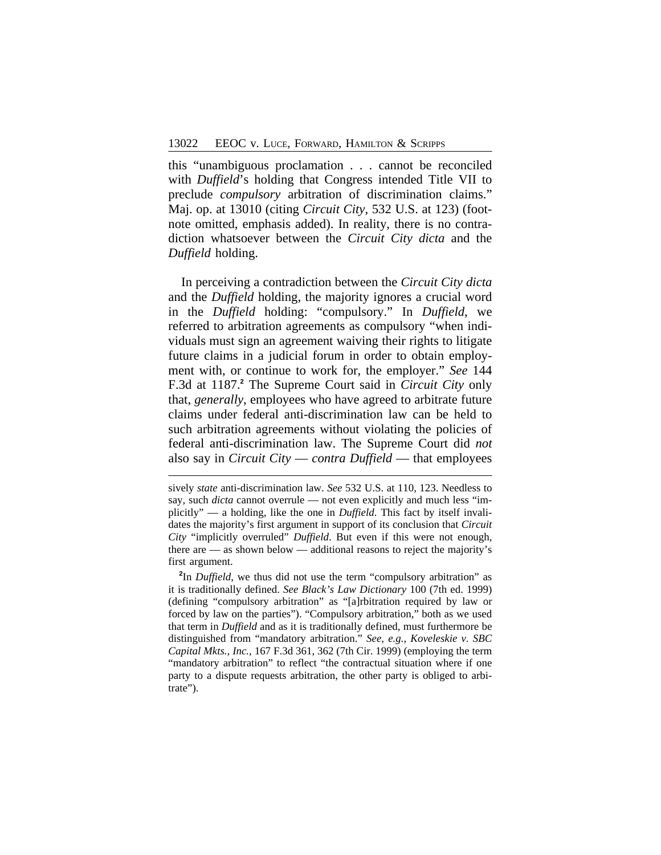this "unambiguous proclamation . . . cannot be reconciled with *Duffield*'s holding that Congress intended Title VII to preclude *compulsory* arbitration of discrimination claims." Maj. op. at 13010 (citing *Circuit City*, 532 U.S. at 123) (footnote omitted, emphasis added). In reality, there is no contradiction whatsoever between the *Circuit City dicta* and the *Duffield* holding.

In perceiving a contradiction between the *Circuit City dicta* and the *Duffield* holding, the majority ignores a crucial word in the *Duffield* holding: "compulsory." In *Duffield*, we referred to arbitration agreements as compulsory "when individuals must sign an agreement waiving their rights to litigate future claims in a judicial forum in order to obtain employment with, or continue to work for, the employer." *See* 144 F.3d at 1187.**<sup>2</sup>** The Supreme Court said in *Circuit City* only that, *generally*, employees who have agreed to arbitrate future claims under federal anti-discrimination law can be held to such arbitration agreements without violating the policies of federal anti-discrimination law. The Supreme Court did *not* also say in *Circuit City* — *contra Duffield* — that employees

sively *state* anti-discrimination law. *See* 532 U.S. at 110, 123. Needless to say, such *dicta* cannot overrule — not even explicitly and much less "implicitly" — a holding, like the one in *Duffield*. This fact by itself invalidates the majority's first argument in support of its conclusion that *Circuit City* "implicitly overruled" *Duffield*. But even if this were not enough, there are — as shown below — additional reasons to reject the majority's first argument.

**<sup>2</sup>** In *Duffield*, we thus did not use the term "compulsory arbitration" as it is traditionally defined. *See Black's Law Dictionary* 100 (7th ed. 1999) (defining "compulsory arbitration" as "[a]rbitration required by law or forced by law on the parties"). "Compulsory arbitration," both as we used that term in *Duffield* and as it is traditionally defined, must furthermore be distinguished from "mandatory arbitration." *See, e.g.*, *Koveleskie v. SBC Capital Mkts., Inc.*, 167 F.3d 361, 362 (7th Cir. 1999) (employing the term "mandatory arbitration" to reflect "the contractual situation where if one party to a dispute requests arbitration, the other party is obliged to arbitrate").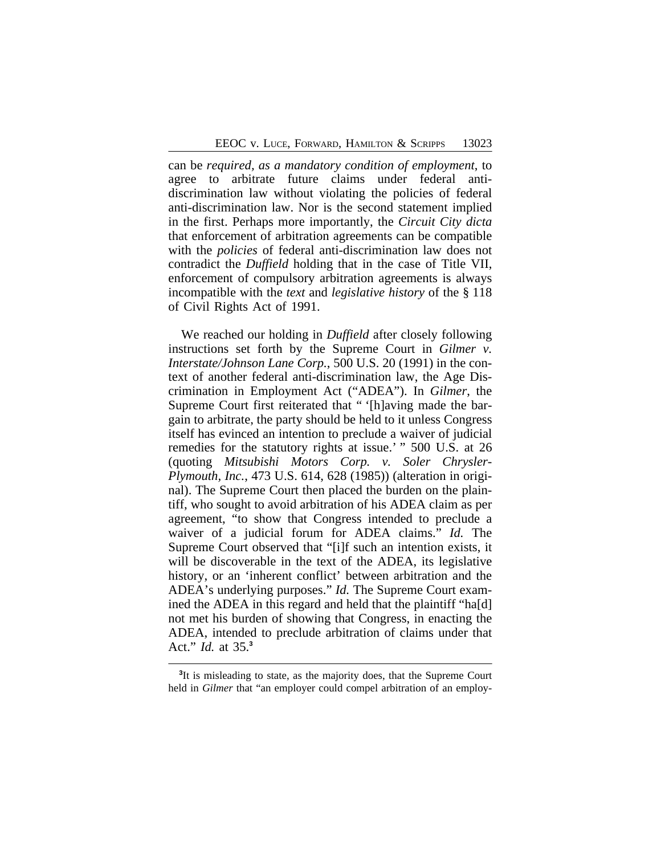can be *required, as a mandatory condition of employment*, to agree to arbitrate future claims under federal antidiscrimination law without violating the policies of federal anti-discrimination law. Nor is the second statement implied in the first. Perhaps more importantly, the *Circuit City dicta* that enforcement of arbitration agreements can be compatible with the *policies* of federal anti-discrimination law does not contradict the *Duffield* holding that in the case of Title VII, enforcement of compulsory arbitration agreements is always incompatible with the *text* and *legislative history* of the § 118 of Civil Rights Act of 1991.

We reached our holding in *Duffield* after closely following instructions set forth by the Supreme Court in *Gilmer v. Interstate/Johnson Lane Corp.*, 500 U.S. 20 (1991) in the context of another federal anti-discrimination law, the Age Discrimination in Employment Act ("ADEA"). In *Gilmer*, the Supreme Court first reiterated that " '[h]aving made the bargain to arbitrate, the party should be held to it unless Congress itself has evinced an intention to preclude a waiver of judicial remedies for the statutory rights at issue.' " 500 U.S. at 26 (quoting *Mitsubishi Motors Corp. v. Soler Chrysler-Plymouth, Inc.*, 473 U.S. 614, 628 (1985)) (alteration in original). The Supreme Court then placed the burden on the plaintiff, who sought to avoid arbitration of his ADEA claim as per agreement, "to show that Congress intended to preclude a waiver of a judicial forum for ADEA claims." *Id.* The Supreme Court observed that "[i]f such an intention exists, it will be discoverable in the text of the ADEA, its legislative history, or an 'inherent conflict' between arbitration and the ADEA's underlying purposes." *Id.* The Supreme Court examined the ADEA in this regard and held that the plaintiff "ha[d] not met his burden of showing that Congress, in enacting the ADEA, intended to preclude arbitration of claims under that Act." *Id.* at 35.**<sup>3</sup>**

<sup>&</sup>lt;sup>3</sup>It is misleading to state, as the majority does, that the Supreme Court held in *Gilmer* that "an employer could compel arbitration of an employ-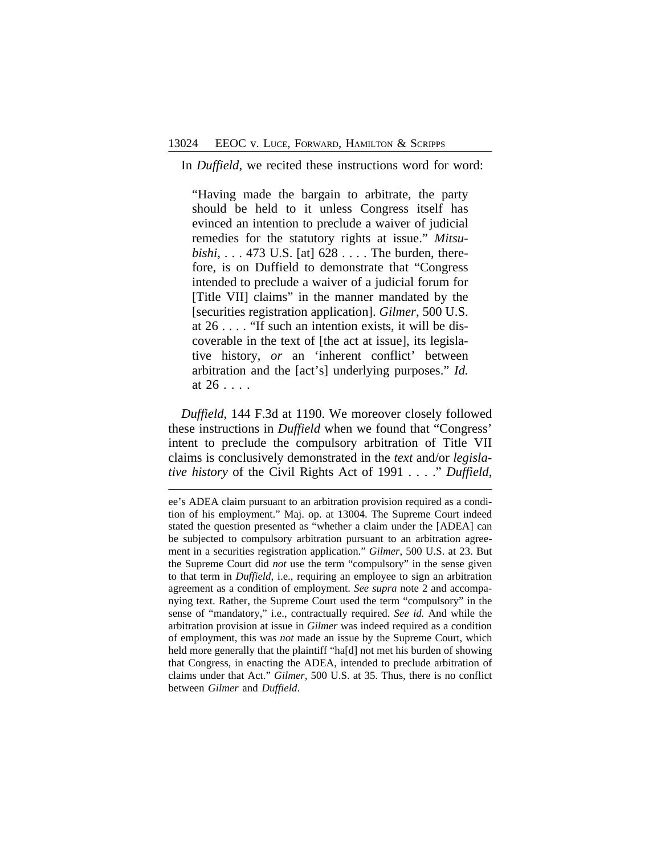In *Duffield*, we recited these instructions word for word:

"Having made the bargain to arbitrate, the party should be held to it unless Congress itself has evinced an intention to preclude a waiver of judicial remedies for the statutory rights at issue." *Mitsubishi*, . . . 473 U.S. [at] 628 . . . . The burden, therefore, is on Duffield to demonstrate that "Congress intended to preclude a waiver of a judicial forum for [Title VII] claims" in the manner mandated by the [securities registration application]. *Gilmer*, 500 U.S. at 26 . . . . "If such an intention exists, it will be discoverable in the text of [the act at issue], its legislative history, *or* an 'inherent conflict' between arbitration and the [act's] underlying purposes." *Id.* at 26 . . . .

*Duffield*, 144 F.3d at 1190. We moreover closely followed these instructions in *Duffield* when we found that "Congress' intent to preclude the compulsory arbitration of Title VII claims is conclusively demonstrated in the *text* and/or *legislative history* of the Civil Rights Act of 1991 . . . ." *Duffield*,

ee's ADEA claim pursuant to an arbitration provision required as a condition of his employment." Maj. op. at 13004. The Supreme Court indeed stated the question presented as "whether a claim under the [ADEA] can be subjected to compulsory arbitration pursuant to an arbitration agreement in a securities registration application." *Gilmer*, 500 U.S. at 23. But the Supreme Court did *not* use the term "compulsory" in the sense given to that term in *Duffield*, i.e., requiring an employee to sign an arbitration agreement as a condition of employment. *See supra* note 2 and accompanying text. Rather, the Supreme Court used the term "compulsory" in the sense of "mandatory," i.e., contractually required. *See id.* And while the arbitration provision at issue in *Gilmer* was indeed required as a condition of employment, this was *not* made an issue by the Supreme Court, which held more generally that the plaintiff "ha[d] not met his burden of showing that Congress, in enacting the ADEA, intended to preclude arbitration of claims under that Act." *Gilmer*, 500 U.S. at 35. Thus, there is no conflict between *Gilmer* and *Duffield*.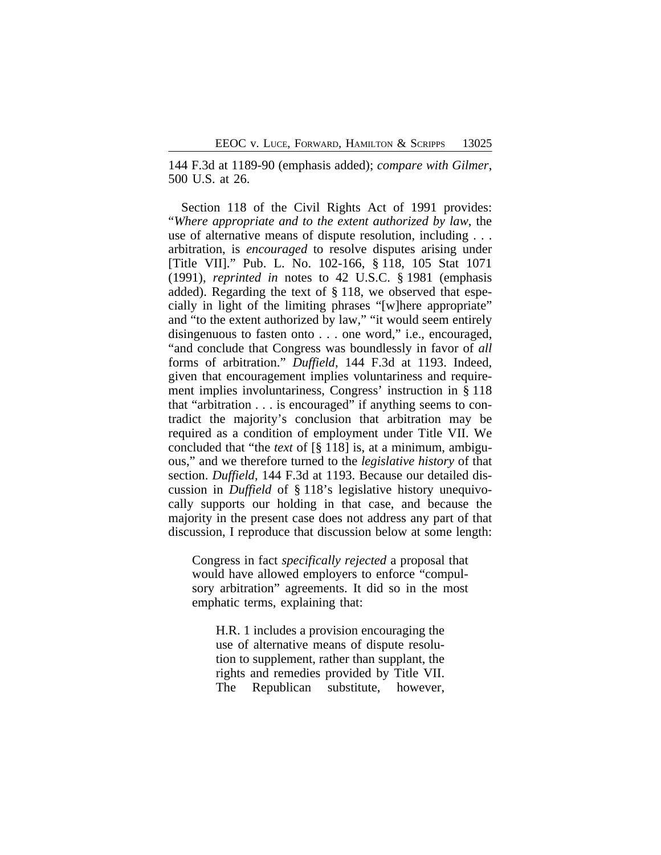144 F.3d at 1189-90 (emphasis added); *compare with Gilmer*, 500 U.S. at 26.

Section 118 of the Civil Rights Act of 1991 provides: "*Where appropriate and to the extent authorized by law*, the use of alternative means of dispute resolution, including . . . arbitration, is *encouraged* to resolve disputes arising under [Title VII]." Pub. L. No. 102-166, § 118, 105 Stat 1071 (1991), *reprinted in* notes to 42 U.S.C. § 1981 (emphasis added). Regarding the text of § 118, we observed that especially in light of the limiting phrases "[w]here appropriate" and "to the extent authorized by law," "it would seem entirely disingenuous to fasten onto . . . one word," i.e., encouraged, "and conclude that Congress was boundlessly in favor of *all* forms of arbitration." *Duffield*, 144 F.3d at 1193. Indeed, given that encouragement implies voluntariness and requirement implies involuntariness, Congress' instruction in § 118 that "arbitration . . . is encouraged" if anything seems to contradict the majority's conclusion that arbitration may be required as a condition of employment under Title VII. We concluded that "the *text* of [§ 118] is, at a minimum, ambiguous," and we therefore turned to the *legislative history* of that section. *Duffield*, 144 F.3d at 1193. Because our detailed discussion in *Duffield* of § 118's legislative history unequivocally supports our holding in that case, and because the majority in the present case does not address any part of that discussion, I reproduce that discussion below at some length:

Congress in fact *specifically rejected* a proposal that would have allowed employers to enforce "compulsory arbitration" agreements. It did so in the most emphatic terms, explaining that:

H.R. 1 includes a provision encouraging the use of alternative means of dispute resolution to supplement, rather than supplant, the rights and remedies provided by Title VII. The Republican substitute, however,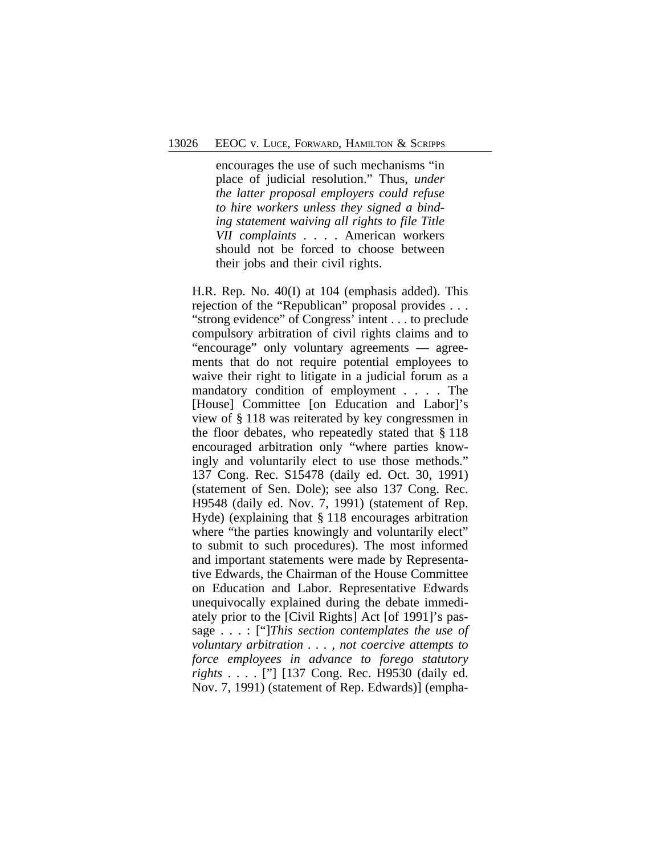encourages the use of such mechanisms "in place of judicial resolution." Thus, *under the latter proposal employers could refuse to hire workers unless they signed a binding statement waiving all rights to file Title VII complaints* . . . . American workers should not be forced to choose between their jobs and their civil rights.

H.R. Rep. No. 40(I) at 104 (emphasis added). This rejection of the "Republican" proposal provides . . . "strong evidence" of Congress' intent . . . to preclude compulsory arbitration of civil rights claims and to "encourage" only voluntary agreements — agreements that do not require potential employees to waive their right to litigate in a judicial forum as a mandatory condition of employment . . . . The [House] Committee [on Education and Labor]'s view of § 118 was reiterated by key congressmen in the floor debates, who repeatedly stated that § 118 encouraged arbitration only "where parties knowingly and voluntarily elect to use those methods." 137 Cong. Rec. S15478 (daily ed. Oct. 30, 1991) (statement of Sen. Dole); see also 137 Cong. Rec. H9548 (daily ed. Nov. 7, 1991) (statement of Rep. Hyde) (explaining that § 118 encourages arbitration where "the parties knowingly and voluntarily elect" to submit to such procedures). The most informed and important statements were made by Representative Edwards, the Chairman of the House Committee on Education and Labor. Representative Edwards unequivocally explained during the debate immediately prior to the [Civil Rights] Act [of 1991]'s passage . . . : ["]*This section contemplates the use of voluntary arbitration . . . , not coercive attempts to force employees in advance to forego statutory rights* . . . . ["] [137 Cong. Rec. H9530 (daily ed. Nov. 7, 1991) (statement of Rep. Edwards)] (empha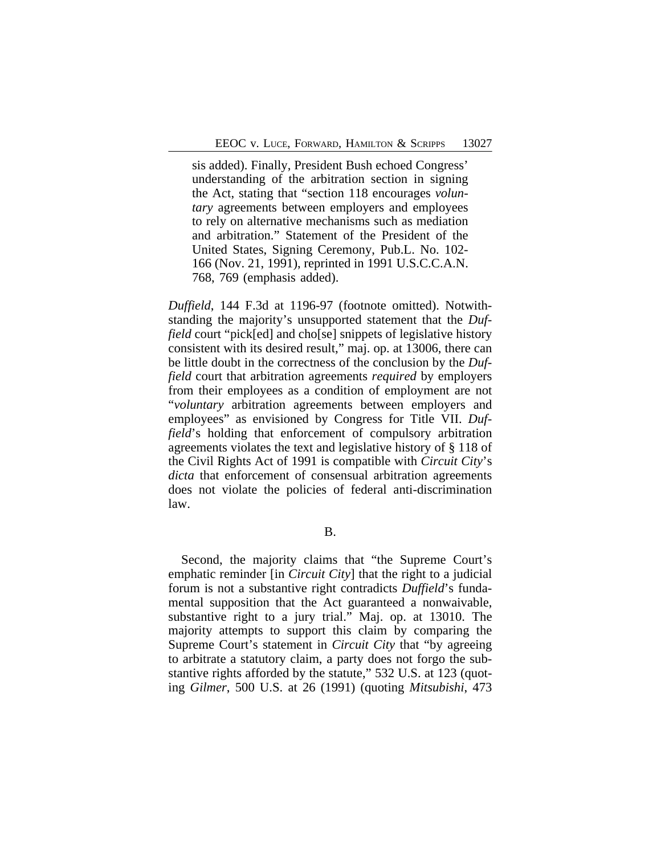sis added). Finally, President Bush echoed Congress' understanding of the arbitration section in signing the Act, stating that "section 118 encourages *voluntary* agreements between employers and employees to rely on alternative mechanisms such as mediation and arbitration." Statement of the President of the United States, Signing Ceremony, Pub.L. No. 102- 166 (Nov. 21, 1991), reprinted in 1991 U.S.C.C.A.N. 768, 769 (emphasis added).

*Duffield*, 144 F.3d at 1196-97 (footnote omitted). Notwithstanding the majority's unsupported statement that the *Duffield* court "pick[ed] and cho[se] snippets of legislative history consistent with its desired result," maj. op. at 13006, there can be little doubt in the correctness of the conclusion by the *Duffield* court that arbitration agreements *required* by employers from their employees as a condition of employment are not "*voluntary* arbitration agreements between employers and employees" as envisioned by Congress for Title VII. *Duffield*'s holding that enforcement of compulsory arbitration agreements violates the text and legislative history of § 118 of the Civil Rights Act of 1991 is compatible with *Circuit City*'s *dicta* that enforcement of consensual arbitration agreements does not violate the policies of federal anti-discrimination law.

B.

Second, the majority claims that "the Supreme Court's emphatic reminder [in *Circuit City*] that the right to a judicial forum is not a substantive right contradicts *Duffield*'s fundamental supposition that the Act guaranteed a nonwaivable, substantive right to a jury trial." Maj. op. at 13010. The majority attempts to support this claim by comparing the Supreme Court's statement in *Circuit City* that "by agreeing to arbitrate a statutory claim, a party does not forgo the substantive rights afforded by the statute," 532 U.S. at 123 (quoting *Gilmer*, 500 U.S. at 26 (1991) (quoting *Mitsubishi*, 473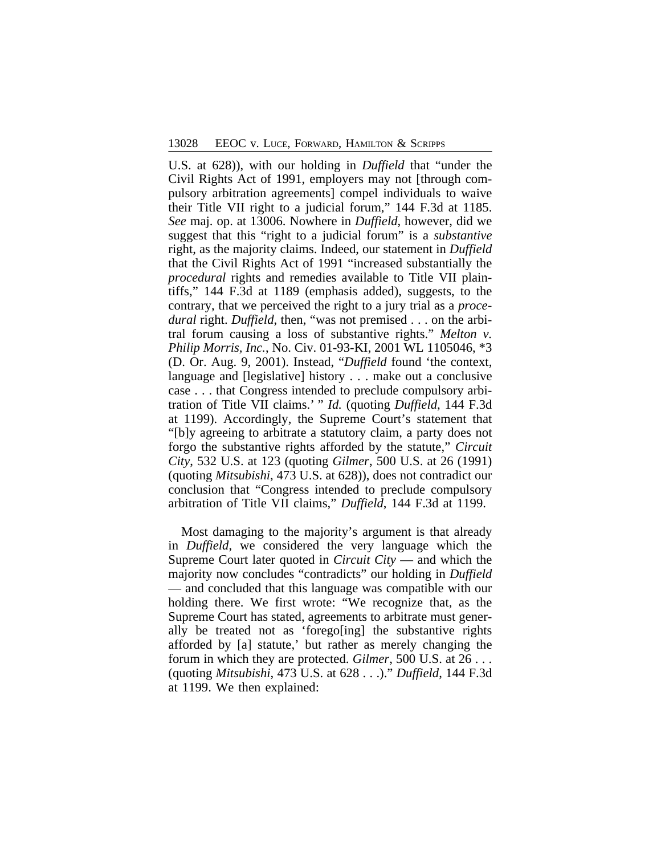U.S. at 628)), with our holding in *Duffield* that "under the Civil Rights Act of 1991, employers may not [through compulsory arbitration agreements] compel individuals to waive their Title VII right to a judicial forum," 144 F.3d at 1185. *See* maj. op. at 13006. Nowhere in *Duffield*, however, did we suggest that this "right to a judicial forum" is a *substantive* right, as the majority claims. Indeed, our statement in *Duffield* that the Civil Rights Act of 1991 "increased substantially the *procedural* rights and remedies available to Title VII plaintiffs," 144 F.3d at 1189 (emphasis added), suggests, to the contrary, that we perceived the right to a jury trial as a *procedural* right. *Duffield*, then, "was not premised . . . on the arbitral forum causing a loss of substantive rights." *Melton v. Philip Morris, Inc.*, No. Civ. 01-93-KI, 2001 WL 1105046, \*3 (D. Or. Aug. 9, 2001). Instead, "*Duffield* found 'the context, language and [legislative] history . . . make out a conclusive case . . . that Congress intended to preclude compulsory arbitration of Title VII claims.' " *Id.* (quoting *Duffield*, 144 F.3d at 1199). Accordingly, the Supreme Court's statement that "[b]y agreeing to arbitrate a statutory claim, a party does not forgo the substantive rights afforded by the statute," *Circuit City*, 532 U.S. at 123 (quoting *Gilmer*, 500 U.S. at 26 (1991) (quoting *Mitsubishi*, 473 U.S. at 628)), does not contradict our conclusion that "Congress intended to preclude compulsory arbitration of Title VII claims," *Duffield*, 144 F.3d at 1199.

Most damaging to the majority's argument is that already in *Duffield*, we considered the very language which the Supreme Court later quoted in *Circuit City* — and which the majority now concludes "contradicts" our holding in *Duffield* — and concluded that this language was compatible with our holding there. We first wrote: "We recognize that, as the Supreme Court has stated, agreements to arbitrate must generally be treated not as 'forego[ing] the substantive rights afforded by [a] statute,' but rather as merely changing the forum in which they are protected. *Gilmer*, 500 U.S. at 26 . . . (quoting *Mitsubishi*, 473 U.S. at 628 . . .)." *Duffield*, 144 F.3d at 1199. We then explained: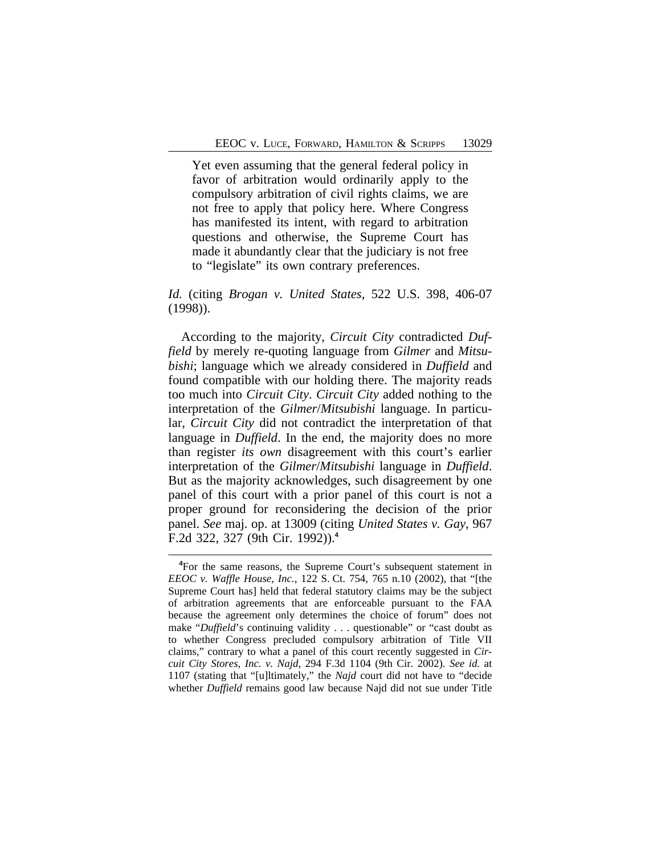Yet even assuming that the general federal policy in favor of arbitration would ordinarily apply to the compulsory arbitration of civil rights claims, we are not free to apply that policy here. Where Congress has manifested its intent, with regard to arbitration questions and otherwise, the Supreme Court has made it abundantly clear that the judiciary is not free to "legislate" its own contrary preferences.

*Id.* (citing *Brogan v. United States*, 522 U.S. 398, 406-07 (1998)).

According to the majority, *Circuit City* contradicted *Duffield* by merely re-quoting language from *Gilmer* and *Mitsubishi*; language which we already considered in *Duffield* and found compatible with our holding there. The majority reads too much into *Circuit City*. *Circuit City* added nothing to the interpretation of the *Gilmer*/*Mitsubishi* language. In particular, *Circuit City* did not contradict the interpretation of that language in *Duffield*. In the end, the majority does no more than register *its own* disagreement with this court's earlier interpretation of the *Gilmer*/*Mitsubishi* language in *Duffield*. But as the majority acknowledges, such disagreement by one panel of this court with a prior panel of this court is not a proper ground for reconsidering the decision of the prior panel. *See* maj. op. at 13009 (citing *United States v. Gay*, 967 F.2d 322, 327 (9th Cir. 1992)).**<sup>4</sup>**

<sup>&</sup>lt;sup>4</sup>For the same reasons, the Supreme Court's subsequent statement in *EEOC v. Waffle House, Inc.*, 122 S. Ct. 754, 765 n.10 (2002), that "[the Supreme Court has] held that federal statutory claims may be the subject of arbitration agreements that are enforceable pursuant to the FAA because the agreement only determines the choice of forum" does not make "*Duffield*'s continuing validity . . . questionable" or "cast doubt as to whether Congress precluded compulsory arbitration of Title VII claims," contrary to what a panel of this court recently suggested in *Circuit City Stores, Inc. v. Najd*, 294 F.3d 1104 (9th Cir. 2002). *See id.* at 1107 (stating that "[u]ltimately," the *Najd* court did not have to "decide whether *Duffield* remains good law because Najd did not sue under Title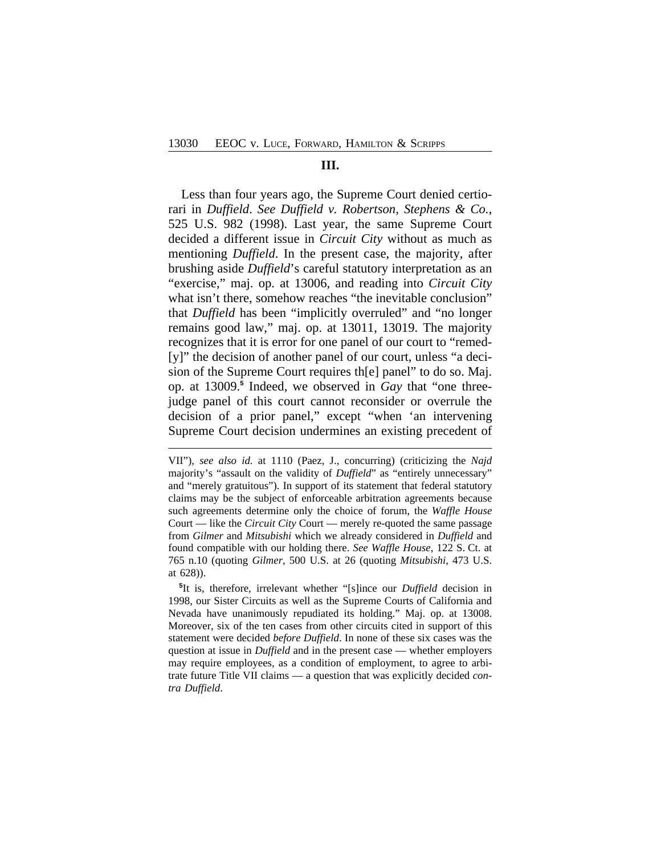#### **III.**

Less than four years ago, the Supreme Court denied certiorari in *Duffield*. *See Duffield v. Robertson, Stephens & Co.*, 525 U.S. 982 (1998). Last year, the same Supreme Court decided a different issue in *Circuit City* without as much as mentioning *Duffield*. In the present case, the majority, after brushing aside *Duffield*'s careful statutory interpretation as an "exercise," maj. op. at 13006, and reading into *Circuit City* what isn't there, somehow reaches "the inevitable conclusion" that *Duffield* has been "implicitly overruled" and "no longer remains good law," maj. op. at 13011, 13019. The majority recognizes that it is error for one panel of our court to "remed- [y]" the decision of another panel of our court, unless "a decision of the Supreme Court requires th[e] panel" to do so. Maj. op. at 13009.**<sup>5</sup>** Indeed, we observed in *Gay* that "one threejudge panel of this court cannot reconsider or overrule the decision of a prior panel," except "when 'an intervening Supreme Court decision undermines an existing precedent of

**5** It is, therefore, irrelevant whether "[s]ince our *Duffield* decision in 1998, our Sister Circuits as well as the Supreme Courts of California and Nevada have unanimously repudiated its holding." Maj. op. at 13008. Moreover, six of the ten cases from other circuits cited in support of this statement were decided *before Duffield*. In none of these six cases was the question at issue in *Duffield* and in the present case — whether employers may require employees, as a condition of employment, to agree to arbitrate future Title VII claims — a question that was explicitly decided *contra Duffield*.

VII"), *see also id.* at 1110 (Paez, J., concurring) (criticizing the *Najd* majority's "assault on the validity of *Duffield*" as "entirely unnecessary" and "merely gratuitous"). In support of its statement that federal statutory claims may be the subject of enforceable arbitration agreements because such agreements determine only the choice of forum, the *Waffle House* Court — like the *Circuit City* Court — merely re-quoted the same passage from *Gilmer* and *Mitsubishi* which we already considered in *Duffield* and found compatible with our holding there. *See Waffle House*, 122 S. Ct. at 765 n.10 (quoting *Gilmer*, 500 U.S. at 26 (quoting *Mitsubishi*, 473 U.S. at 628)).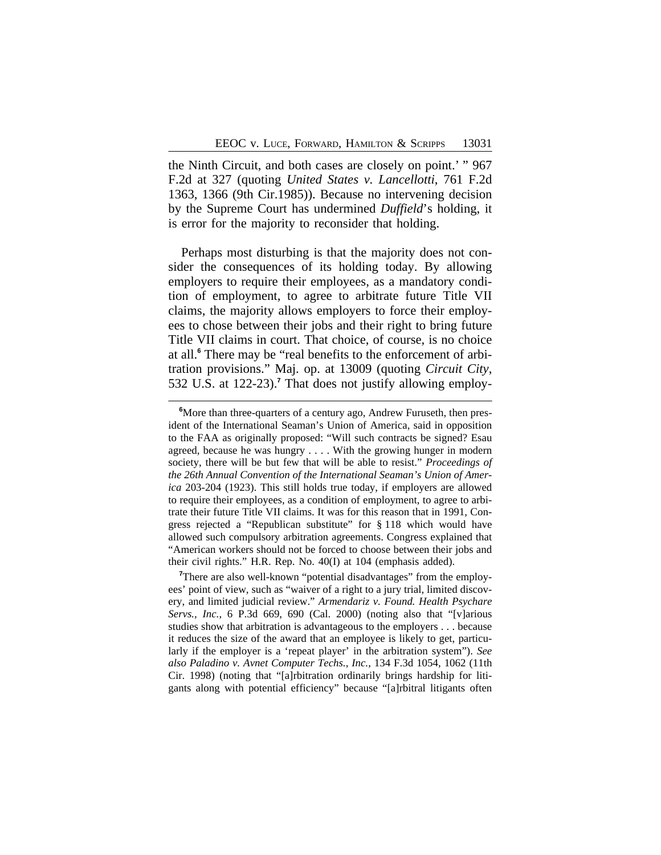the Ninth Circuit, and both cases are closely on point.' " 967 F.2d at 327 (quoting *United States v. Lancellotti*, 761 F.2d 1363, 1366 (9th Cir.1985)). Because no intervening decision by the Supreme Court has undermined *Duffield*'s holding, it is error for the majority to reconsider that holding.

Perhaps most disturbing is that the majority does not consider the consequences of its holding today. By allowing employers to require their employees, as a mandatory condition of employment, to agree to arbitrate future Title VII claims, the majority allows employers to force their employees to chose between their jobs and their right to bring future Title VII claims in court. That choice, of course, is no choice at all.**<sup>6</sup>** There may be "real benefits to the enforcement of arbitration provisions." Maj. op. at 13009 (quoting *Circuit City*, 532 U.S. at 122-23).**<sup>7</sup>** That does not justify allowing employ-

<sup>7</sup>There are also well-known "potential disadvantages" from the employees' point of view, such as "waiver of a right to a jury trial, limited discovery, and limited judicial review." *Armendariz v. Found. Health Psychare Servs., Inc.*, 6 P.3d 669, 690 (Cal. 2000) (noting also that "[v]arious studies show that arbitration is advantageous to the employers . . . because it reduces the size of the award that an employee is likely to get, particularly if the employer is a 'repeat player' in the arbitration system"). *See also Paladino v. Avnet Computer Techs., Inc.*, 134 F.3d 1054, 1062 (11th Cir. 1998) (noting that "[a]rbitration ordinarily brings hardship for litigants along with potential efficiency" because "[a]rbitral litigants often

**<sup>6</sup>**More than three-quarters of a century ago, Andrew Furuseth, then president of the International Seaman's Union of America, said in opposition to the FAA as originally proposed: "Will such contracts be signed? Esau agreed, because he was hungry . . . . With the growing hunger in modern society, there will be but few that will be able to resist." *Proceedings of the 26th Annual Convention of the International Seaman's Union of America* 203-204 (1923). This still holds true today, if employers are allowed to require their employees, as a condition of employment, to agree to arbitrate their future Title VII claims. It was for this reason that in 1991, Congress rejected a "Republican substitute" for § 118 which would have allowed such compulsory arbitration agreements. Congress explained that "American workers should not be forced to choose between their jobs and their civil rights." H.R. Rep. No. 40(I) at 104 (emphasis added).